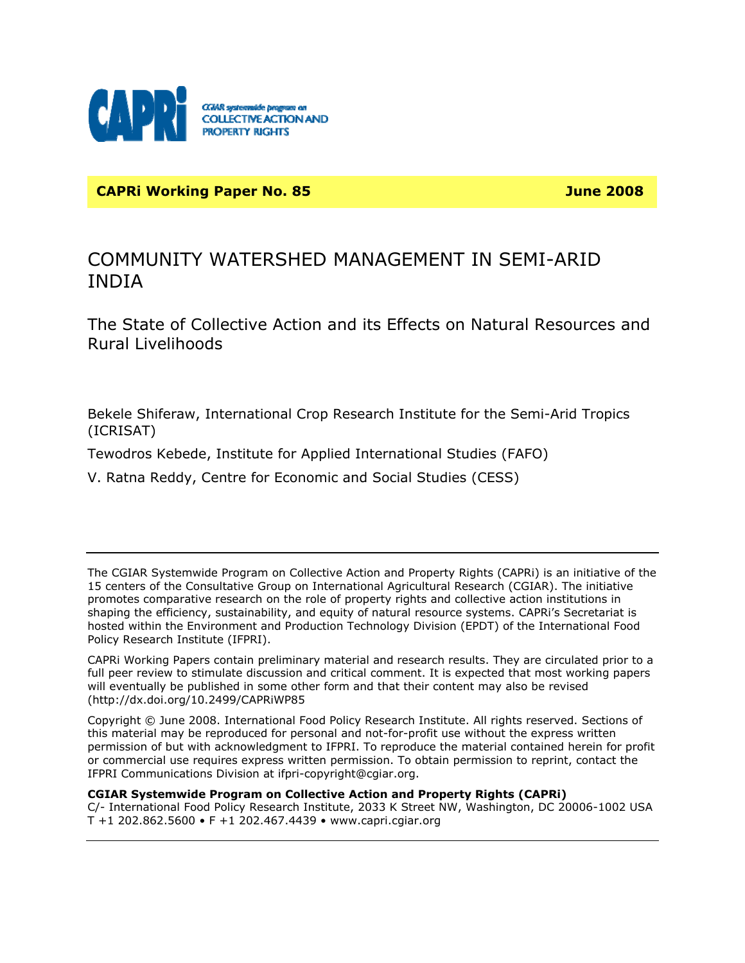

**CAPRI Working Paper No. 85 June 2008** 

# COMMUNITY WATERSHED MANAGEMENT IN SEMI-ARID INDIA

The State of Collective Action and its Effects on Natural Resources and Rural Livelihoods

Bekele Shiferaw, International Crop Research Institute for the Semi-Arid Tropics (ICRISAT)

Tewodros Kebede, Institute for Applied International Studies (FAFO)

V. Ratna Reddy, Centre for Economic and Social Studies (CESS)

The CGIAR Systemwide Program on Collective Action and Property Rights (CAPRi) is an initiative of the 15 centers of the Consultative Group on International Agricultural Research (CGIAR). The initiative promotes comparative research on the role of property rights and collective action institutions in shaping the efficiency, sustainability, and equity of natural resource systems. CAPRi's Secretariat is hosted within the Environment and Production Technology Division (EPDT) of the International Food Policy Research Institute (IFPRI).

CAPRi Working Papers contain preliminary material and research results. They are circulated prior to a full peer review to stimulate discussion and critical comment. It is expected that most working papers will eventually be published in some other form and that their content may also be revised (http://dx.doi.org/10.2499/CAPRiWP85

Copyright © June 2008. International Food Policy Research Institute. All rights reserved. Sections of this material may be reproduced for personal and not-for-profit use without the express written permission of but with acknowledgment to IFPRI. To reproduce the material contained herein for profit or commercial use requires express written permission. To obtain permission to reprint, contact the IFPRI Communications Division at ifpri-copyright@cgiar.org.

**CGIAR Systemwide Program on Collective Action and Property Rights (CAPRi)**  C/- International Food Policy Research Institute, 2033 K Street NW, Washington, DC 20006-1002 USA T +1 202.862.5600 • F +1 202.467.4439 • www.capri.cgiar.org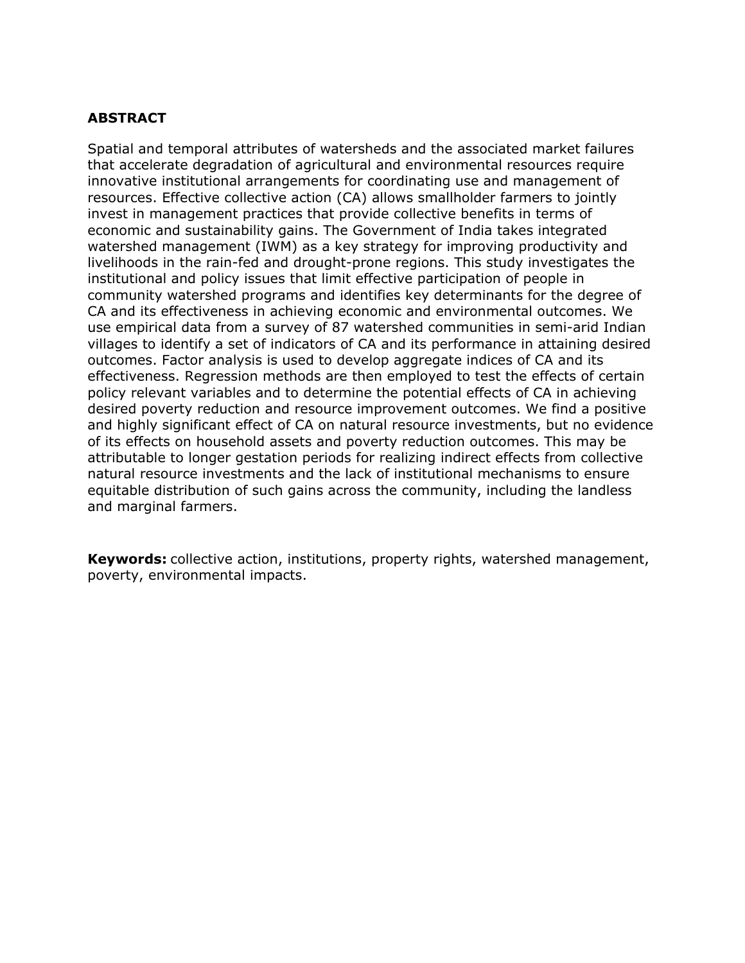## **ABSTRACT**

Spatial and temporal attributes of watersheds and the associated market failures that accelerate degradation of agricultural and environmental resources require innovative institutional arrangements for coordinating use and management of resources. Effective collective action (CA) allows smallholder farmers to jointly invest in management practices that provide collective benefits in terms of economic and sustainability gains. The Government of India takes integrated watershed management (IWM) as a key strategy for improving productivity and livelihoods in the rain-fed and drought-prone regions. This study investigates the institutional and policy issues that limit effective participation of people in community watershed programs and identifies key determinants for the degree of CA and its effectiveness in achieving economic and environmental outcomes. We use empirical data from a survey of 87 watershed communities in semi-arid Indian villages to identify a set of indicators of CA and its performance in attaining desired outcomes. Factor analysis is used to develop aggregate indices of CA and its effectiveness. Regression methods are then employed to test the effects of certain policy relevant variables and to determine the potential effects of CA in achieving desired poverty reduction and resource improvement outcomes. We find a positive and highly significant effect of CA on natural resource investments, but no evidence of its effects on household assets and poverty reduction outcomes. This may be attributable to longer gestation periods for realizing indirect effects from collective natural resource investments and the lack of institutional mechanisms to ensure equitable distribution of such gains across the community, including the landless and marginal farmers.

**Keywords:** collective action, institutions, property rights, watershed management, poverty, environmental impacts.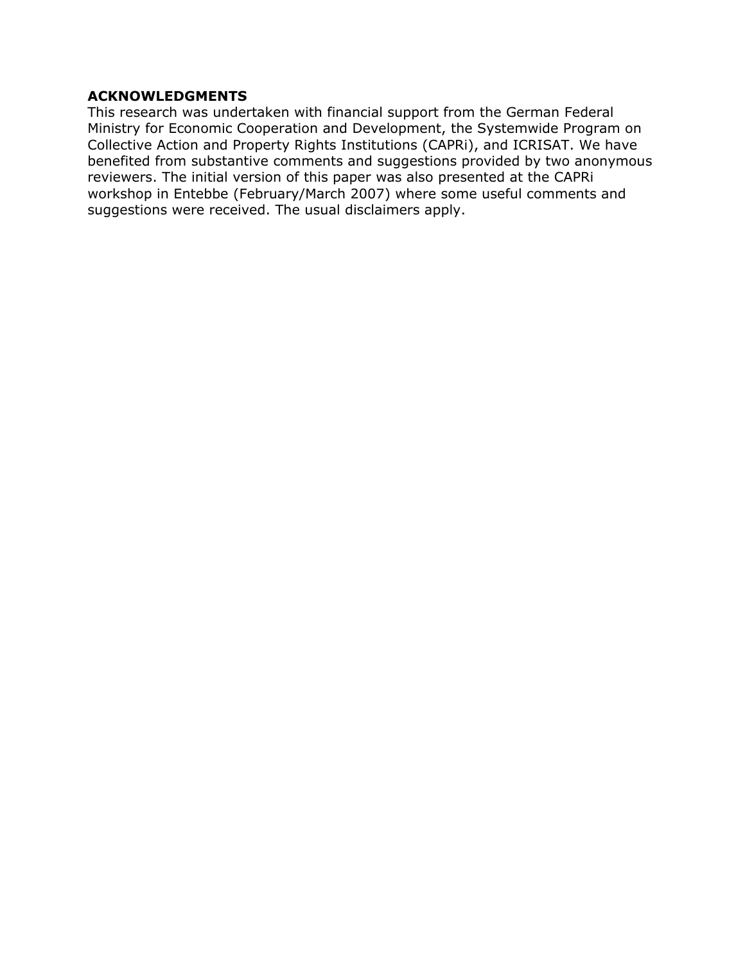## **ACKNOWLEDGMENTS**

This research was undertaken with financial support from the German Federal Ministry for Economic Cooperation and Development, the Systemwide Program on Collective Action and Property Rights Institutions (CAPRi), and ICRISAT. We have benefited from substantive comments and suggestions provided by two anonymous reviewers. The initial version of this paper was also presented at the CAPRi workshop in Entebbe (February/March 2007) where some useful comments and suggestions were received. The usual disclaimers apply.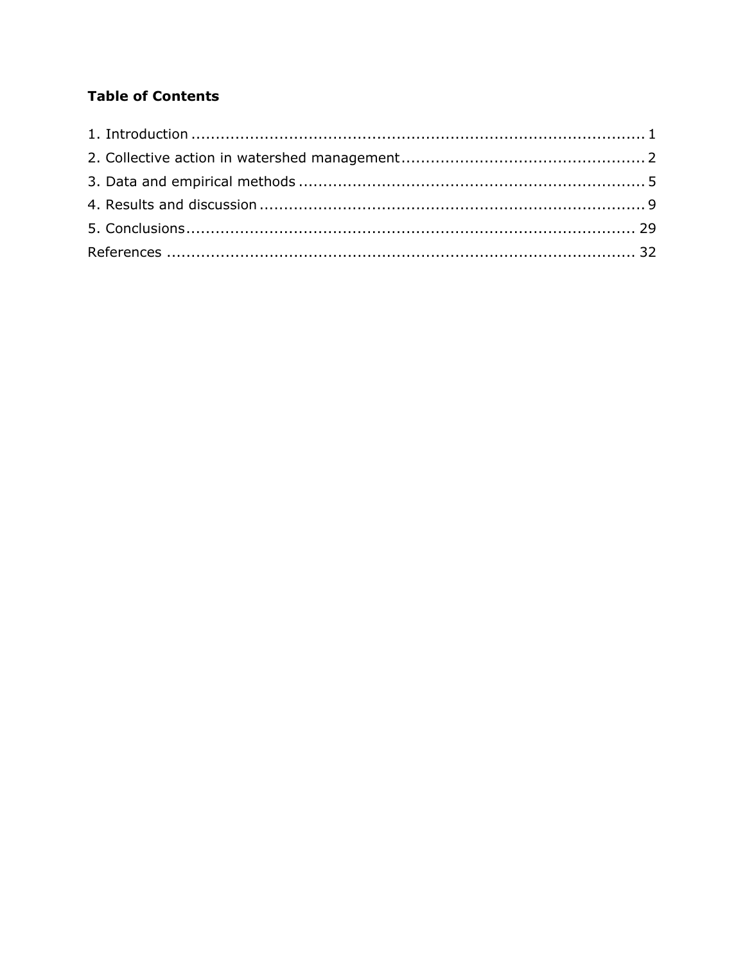# **Table of Contents**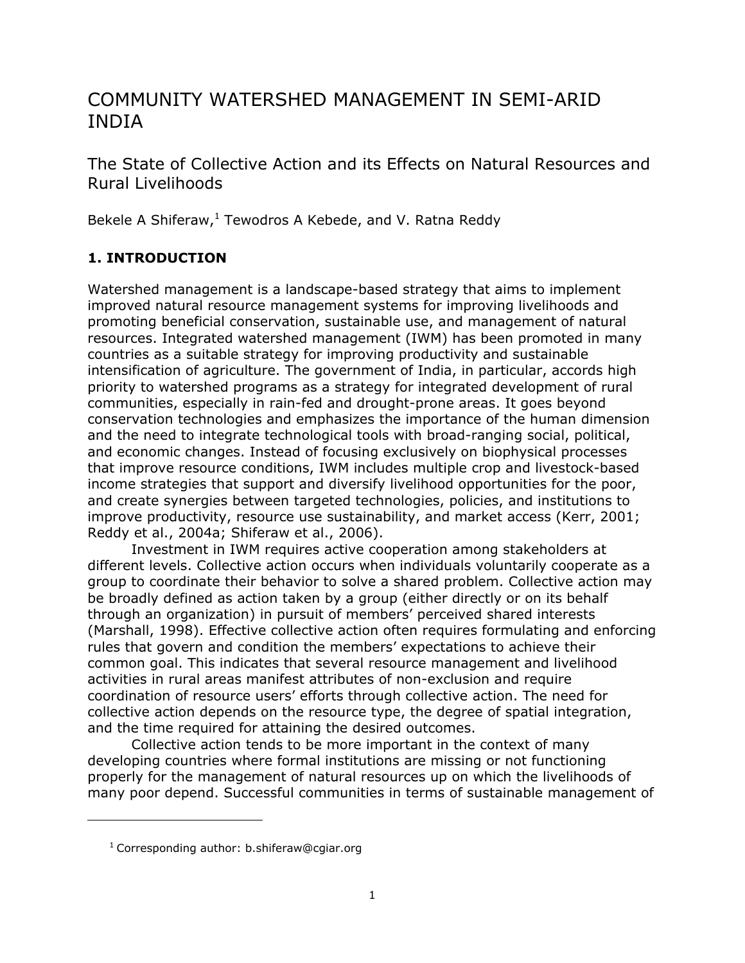# COMMUNITY WATERSHED MANAGEMENT IN SEMI-ARID INDIA

The State of Collective Action and its Effects on Natural Resources and Rural Livelihoods

Bekele A Shiferaw,<sup>1</sup> Tewodros A Kebede, and V. Ratna Reddy

# **1. INTRODUCTION**

Watershed management is a landscape-based strategy that aims to implement improved natural resource management systems for improving livelihoods and promoting beneficial conservation, sustainable use, and management of natural resources. Integrated watershed management (IWM) has been promoted in many countries as a suitable strategy for improving productivity and sustainable intensification of agriculture. The government of India, in particular, accords high priority to watershed programs as a strategy for integrated development of rural communities, especially in rain-fed and drought-prone areas. It goes beyond conservation technologies and emphasizes the importance of the human dimension and the need to integrate technological tools with broad-ranging social, political, and economic changes. Instead of focusing exclusively on biophysical processes that improve resource conditions, IWM includes multiple crop and livestock-based income strategies that support and diversify livelihood opportunities for the poor, and create synergies between targeted technologies, policies, and institutions to improve productivity, resource use sustainability, and market access (Kerr, 2001; Reddy et al., 2004a; Shiferaw et al., 2006).

Investment in IWM requires active cooperation among stakeholders at different levels. Collective action occurs when individuals voluntarily cooperate as a group to coordinate their behavior to solve a shared problem. Collective action may be broadly defined as action taken by a group (either directly or on its behalf through an organization) in pursuit of members' perceived shared interests (Marshall, 1998). Effective collective action often requires formulating and enforcing rules that govern and condition the members' expectations to achieve their common goal. This indicates that several resource management and livelihood activities in rural areas manifest attributes of non-exclusion and require coordination of resource users' efforts through collective action. The need for collective action depends on the resource type, the degree of spatial integration, and the time required for attaining the desired outcomes.

Collective action tends to be more important in the context of many developing countries where formal institutions are missing or not functioning properly for the management of natural resources up on which the livelihoods of many poor depend. Successful communities in terms of sustainable management of

-

 $1$  Corresponding author: b.shiferaw@cgiar.org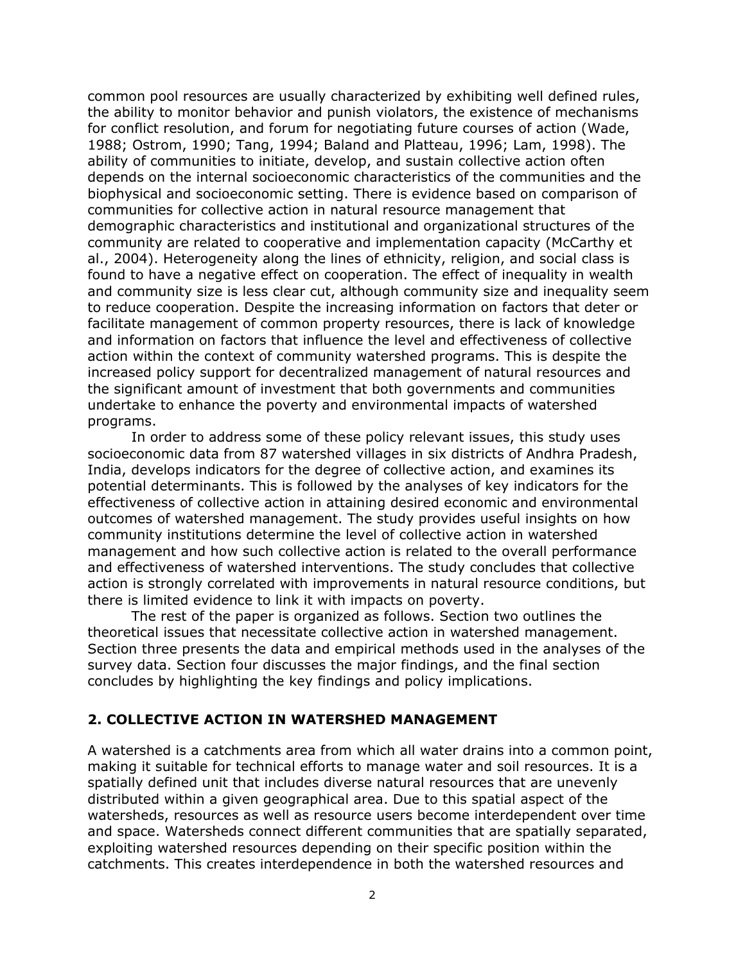common pool resources are usually characterized by exhibiting well defined rules, the ability to monitor behavior and punish violators, the existence of mechanisms for conflict resolution, and forum for negotiating future courses of action (Wade, 1988; Ostrom, 1990; Tang, 1994; Baland and Platteau, 1996; Lam, 1998). The ability of communities to initiate, develop, and sustain collective action often depends on the internal socioeconomic characteristics of the communities and the biophysical and socioeconomic setting. There is evidence based on comparison of communities for collective action in natural resource management that demographic characteristics and institutional and organizational structures of the community are related to cooperative and implementation capacity (McCarthy et al., 2004). Heterogeneity along the lines of ethnicity, religion, and social class is found to have a negative effect on cooperation. The effect of inequality in wealth and community size is less clear cut, although community size and inequality seem to reduce cooperation. Despite the increasing information on factors that deter or facilitate management of common property resources, there is lack of knowledge and information on factors that influence the level and effectiveness of collective action within the context of community watershed programs. This is despite the increased policy support for decentralized management of natural resources and the significant amount of investment that both governments and communities undertake to enhance the poverty and environmental impacts of watershed programs.

In order to address some of these policy relevant issues, this study uses socioeconomic data from 87 watershed villages in six districts of Andhra Pradesh, India, develops indicators for the degree of collective action, and examines its potential determinants. This is followed by the analyses of key indicators for the effectiveness of collective action in attaining desired economic and environmental outcomes of watershed management. The study provides useful insights on how community institutions determine the level of collective action in watershed management and how such collective action is related to the overall performance and effectiveness of watershed interventions. The study concludes that collective action is strongly correlated with improvements in natural resource conditions, but there is limited evidence to link it with impacts on poverty.

The rest of the paper is organized as follows. Section two outlines the theoretical issues that necessitate collective action in watershed management. Section three presents the data and empirical methods used in the analyses of the survey data. Section four discusses the major findings, and the final section concludes by highlighting the key findings and policy implications.

#### **2. COLLECTIVE ACTION IN WATERSHED MANAGEMENT**

A watershed is a catchments area from which all water drains into a common point, making it suitable for technical efforts to manage water and soil resources. It is a spatially defined unit that includes diverse natural resources that are unevenly distributed within a given geographical area. Due to this spatial aspect of the watersheds, resources as well as resource users become interdependent over time and space. Watersheds connect different communities that are spatially separated, exploiting watershed resources depending on their specific position within the catchments. This creates interdependence in both the watershed resources and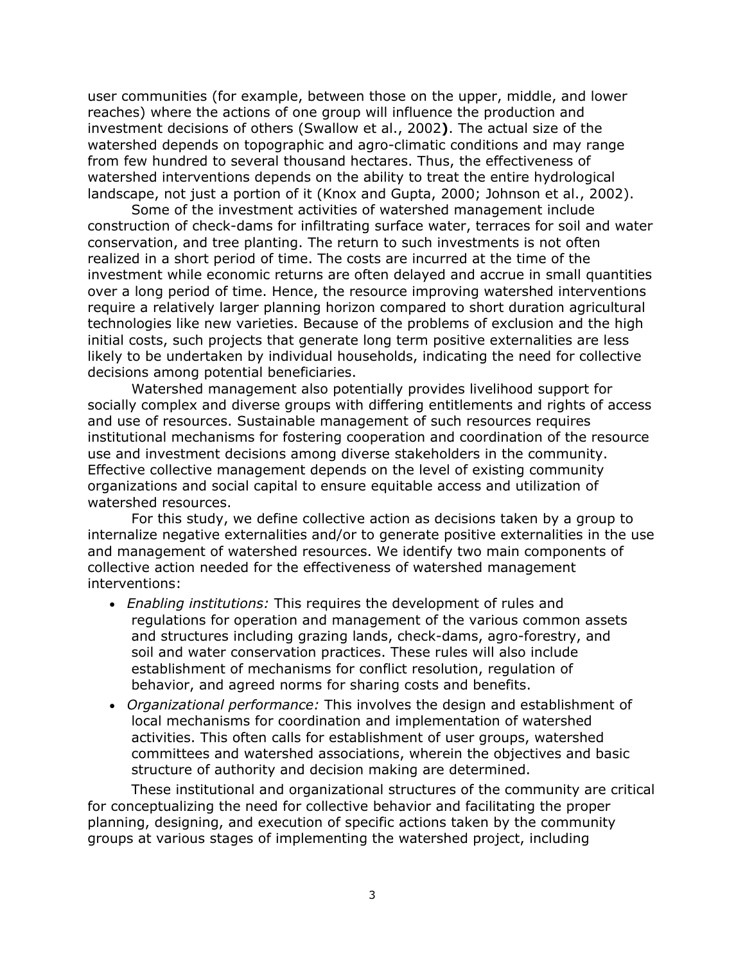user communities (for example, between those on the upper, middle, and lower reaches) where the actions of one group will influence the production and investment decisions of others (Swallow et al., 2002**)**. The actual size of the watershed depends on topographic and agro-climatic conditions and may range from few hundred to several thousand hectares. Thus, the effectiveness of watershed interventions depends on the ability to treat the entire hydrological landscape, not just a portion of it (Knox and Gupta, 2000; Johnson et al., 2002).

Some of the investment activities of watershed management include construction of check-dams for infiltrating surface water, terraces for soil and water conservation, and tree planting. The return to such investments is not often realized in a short period of time. The costs are incurred at the time of the investment while economic returns are often delayed and accrue in small quantities over a long period of time. Hence, the resource improving watershed interventions require a relatively larger planning horizon compared to short duration agricultural technologies like new varieties. Because of the problems of exclusion and the high initial costs, such projects that generate long term positive externalities are less likely to be undertaken by individual households, indicating the need for collective decisions among potential beneficiaries.

Watershed management also potentially provides livelihood support for socially complex and diverse groups with differing entitlements and rights of access and use of resources. Sustainable management of such resources requires institutional mechanisms for fostering cooperation and coordination of the resource use and investment decisions among diverse stakeholders in the community. Effective collective management depends on the level of existing community organizations and social capital to ensure equitable access and utilization of watershed resources.

For this study, we define collective action as decisions taken by a group to internalize negative externalities and/or to generate positive externalities in the use and management of watershed resources. We identify two main components of collective action needed for the effectiveness of watershed management interventions:

- *Enabling institutions:* This requires the development of rules and regulations for operation and management of the various common assets and structures including grazing lands, check-dams, agro-forestry, and soil and water conservation practices. These rules will also include establishment of mechanisms for conflict resolution, regulation of behavior, and agreed norms for sharing costs and benefits.
- *Organizational performance:* This involves the design and establishment of local mechanisms for coordination and implementation of watershed activities. This often calls for establishment of user groups, watershed committees and watershed associations, wherein the objectives and basic structure of authority and decision making are determined.

These institutional and organizational structures of the community are critical for conceptualizing the need for collective behavior and facilitating the proper planning, designing, and execution of specific actions taken by the community groups at various stages of implementing the watershed project, including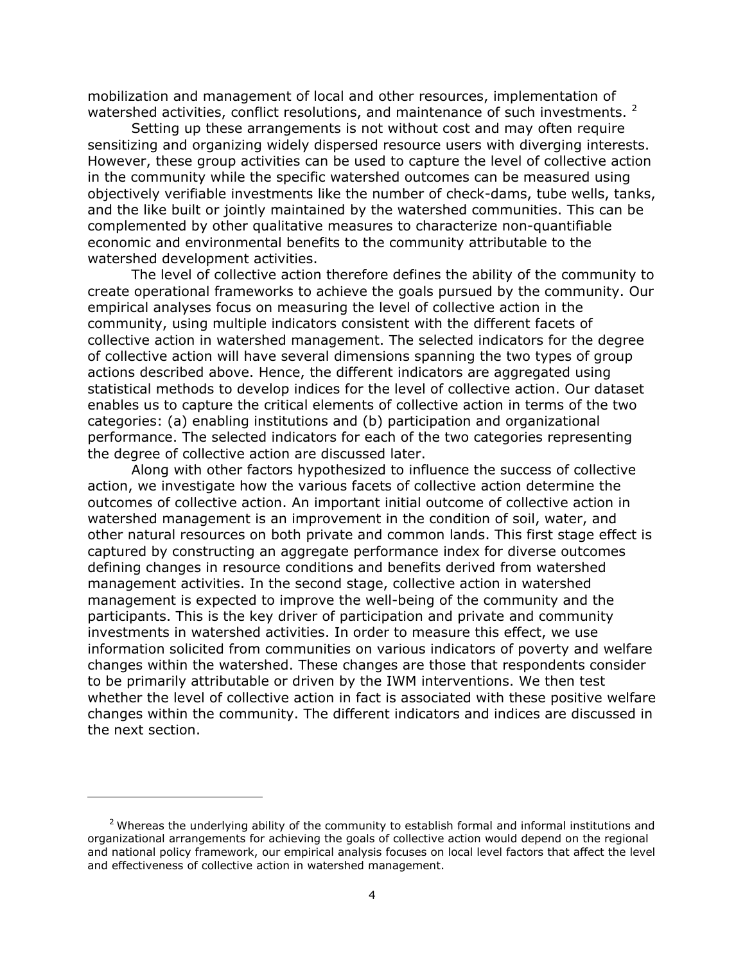mobilization and management of local and other resources, implementation of watershed activities, conflict resolutions, and maintenance of such investments. <sup>2</sup>

Setting up these arrangements is not without cost and may often require sensitizing and organizing widely dispersed resource users with diverging interests. However, these group activities can be used to capture the level of collective action in the community while the specific watershed outcomes can be measured using objectively verifiable investments like the number of check-dams, tube wells, tanks, and the like built or jointly maintained by the watershed communities. This can be complemented by other qualitative measures to characterize non-quantifiable economic and environmental benefits to the community attributable to the watershed development activities.

The level of collective action therefore defines the ability of the community to create operational frameworks to achieve the goals pursued by the community. Our empirical analyses focus on measuring the level of collective action in the community, using multiple indicators consistent with the different facets of collective action in watershed management. The selected indicators for the degree of collective action will have several dimensions spanning the two types of group actions described above. Hence, the different indicators are aggregated using statistical methods to develop indices for the level of collective action. Our dataset enables us to capture the critical elements of collective action in terms of the two categories: (a) enabling institutions and (b) participation and organizational performance. The selected indicators for each of the two categories representing the degree of collective action are discussed later.

Along with other factors hypothesized to influence the success of collective action, we investigate how the various facets of collective action determine the outcomes of collective action. An important initial outcome of collective action in watershed management is an improvement in the condition of soil, water, and other natural resources on both private and common lands. This first stage effect is captured by constructing an aggregate performance index for diverse outcomes defining changes in resource conditions and benefits derived from watershed management activities. In the second stage, collective action in watershed management is expected to improve the well-being of the community and the participants. This is the key driver of participation and private and community investments in watershed activities. In order to measure this effect, we use information solicited from communities on various indicators of poverty and welfare changes within the watershed. These changes are those that respondents consider to be primarily attributable or driven by the IWM interventions. We then test whether the level of collective action in fact is associated with these positive welfare changes within the community. The different indicators and indices are discussed in the next section.

1

 $2$  Whereas the underlying ability of the community to establish formal and informal institutions and organizational arrangements for achieving the goals of collective action would depend on the regional and national policy framework, our empirical analysis focuses on local level factors that affect the level and effectiveness of collective action in watershed management.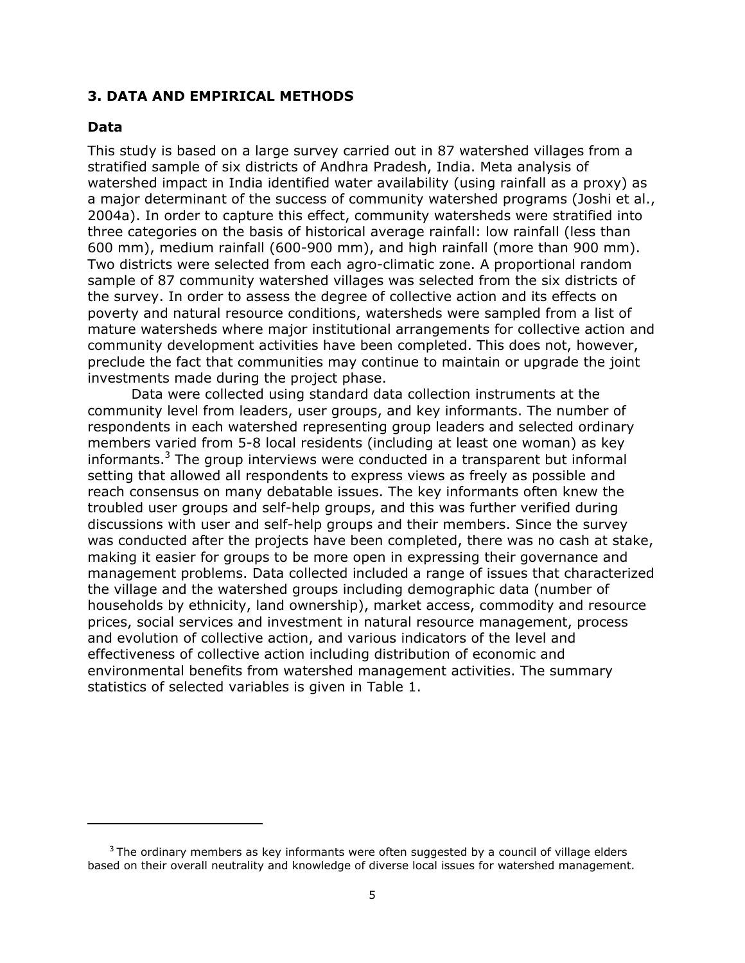#### **3. DATA AND EMPIRICAL METHODS**

#### **Data**

1

This study is based on a large survey carried out in 87 watershed villages from a stratified sample of six districts of Andhra Pradesh, India. Meta analysis of watershed impact in India identified water availability (using rainfall as a proxy) as a major determinant of the success of community watershed programs (Joshi et al., 2004a). In order to capture this effect, community watersheds were stratified into three categories on the basis of historical average rainfall: low rainfall (less than 600 mm), medium rainfall (600-900 mm), and high rainfall (more than 900 mm). Two districts were selected from each agro-climatic zone. A proportional random sample of 87 community watershed villages was selected from the six districts of the survey. In order to assess the degree of collective action and its effects on poverty and natural resource conditions, watersheds were sampled from a list of mature watersheds where major institutional arrangements for collective action and community development activities have been completed. This does not, however, preclude the fact that communities may continue to maintain or upgrade the joint investments made during the project phase.

Data were collected using standard data collection instruments at the community level from leaders, user groups, and key informants. The number of respondents in each watershed representing group leaders and selected ordinary members varied from 5-8 local residents (including at least one woman) as key informants.<sup>3</sup> The group interviews were conducted in a transparent but informal setting that allowed all respondents to express views as freely as possible and reach consensus on many debatable issues. The key informants often knew the troubled user groups and self-help groups, and this was further verified during discussions with user and self-help groups and their members. Since the survey was conducted after the projects have been completed, there was no cash at stake, making it easier for groups to be more open in expressing their governance and management problems. Data collected included a range of issues that characterized the village and the watershed groups including demographic data (number of households by ethnicity, land ownership), market access, commodity and resource prices, social services and investment in natural resource management, process and evolution of collective action, and various indicators of the level and effectiveness of collective action including distribution of economic and environmental benefits from watershed management activities. The summary statistics of selected variables is given in Table 1.

 $3$  The ordinary members as key informants were often suggested by a council of village elders based on their overall neutrality and knowledge of diverse local issues for watershed management.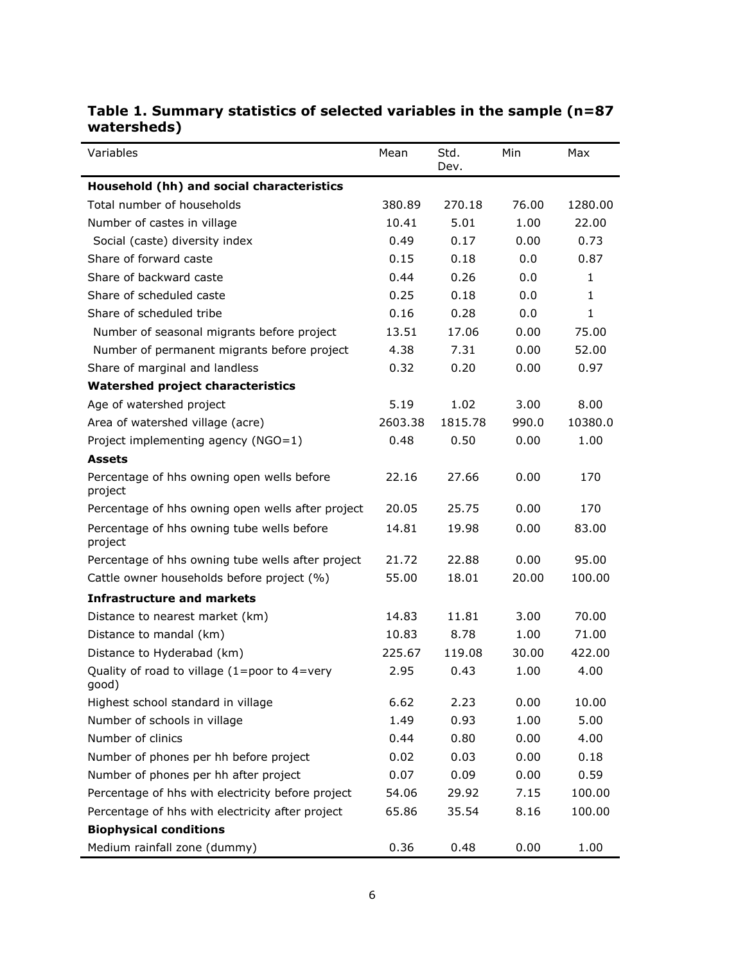| Variables                                             | Mean    | Std.<br>Dev. | Min   | Max          |
|-------------------------------------------------------|---------|--------------|-------|--------------|
| Household (hh) and social characteristics             |         |              |       |              |
| Total number of households                            | 380.89  | 270.18       | 76.00 | 1280.00      |
| Number of castes in village                           | 10.41   | 5.01         | 1.00  | 22.00        |
| Social (caste) diversity index                        | 0.49    | 0.17         | 0.00  | 0.73         |
| Share of forward caste                                | 0.15    | 0.18         | 0.0   | 0.87         |
| Share of backward caste                               | 0.44    | 0.26         | 0.0   | $\mathbf{1}$ |
| Share of scheduled caste                              | 0.25    | 0.18         | 0.0   | $\mathbf{1}$ |
| Share of scheduled tribe                              | 0.16    | 0.28         | 0.0   | $\mathbf{1}$ |
| Number of seasonal migrants before project            | 13.51   | 17.06        | 0.00  | 75.00        |
| Number of permanent migrants before project           | 4.38    | 7.31         | 0.00  | 52.00        |
| Share of marginal and landless                        | 0.32    | 0.20         | 0.00  | 0.97         |
| <b>Watershed project characteristics</b>              |         |              |       |              |
| Age of watershed project                              | 5.19    | 1.02         | 3.00  | 8.00         |
| Area of watershed village (acre)                      | 2603.38 | 1815.78      | 990.0 | 10380.0      |
| Project implementing agency (NGO=1)                   | 0.48    | 0.50         | 0.00  | 1.00         |
| <b>Assets</b>                                         |         |              |       |              |
| Percentage of hhs owning open wells before<br>project | 22.16   | 27.66        | 0.00  | 170          |
| Percentage of hhs owning open wells after project     | 20.05   | 25.75        | 0.00  | 170          |
| Percentage of hhs owning tube wells before<br>project | 14.81   | 19.98        | 0.00  | 83.00        |
| Percentage of hhs owning tube wells after project     | 21.72   | 22.88        | 0.00  | 95.00        |
| Cattle owner households before project (%)            | 55.00   | 18.01        | 20.00 | 100.00       |
| <b>Infrastructure and markets</b>                     |         |              |       |              |
| Distance to nearest market (km)                       | 14.83   | 11.81        | 3.00  | 70.00        |
| Distance to mandal (km)                               | 10.83   | 8.78         | 1.00  | 71.00        |
| Distance to Hyderabad (km)                            | 225.67  | 119.08       | 30.00 | 422.00       |
| Quality of road to village (1=poor to 4=very<br>(good | 2.95    | 0.43         | 1.00  | 4.00         |
| Highest school standard in village                    | 6.62    | 2.23         | 0.00  | 10.00        |
| Number of schools in village                          | 1.49    | 0.93         | 1.00  | 5.00         |
| Number of clinics                                     | 0.44    | 0.80         | 0.00  | 4.00         |
| Number of phones per hh before project                | 0.02    | 0.03         | 0.00  | 0.18         |
| Number of phones per hh after project                 | 0.07    | 0.09         | 0.00  | 0.59         |
| Percentage of hhs with electricity before project     | 54.06   | 29.92        | 7.15  | 100.00       |
| Percentage of hhs with electricity after project      | 65.86   | 35.54        | 8.16  | 100.00       |
| <b>Biophysical conditions</b>                         |         |              |       |              |
| Medium rainfall zone (dummy)                          | 0.36    | 0.48         | 0.00  | 1.00         |

# **Table 1. Summary statistics of selected variables in the sample (n=87 watersheds)**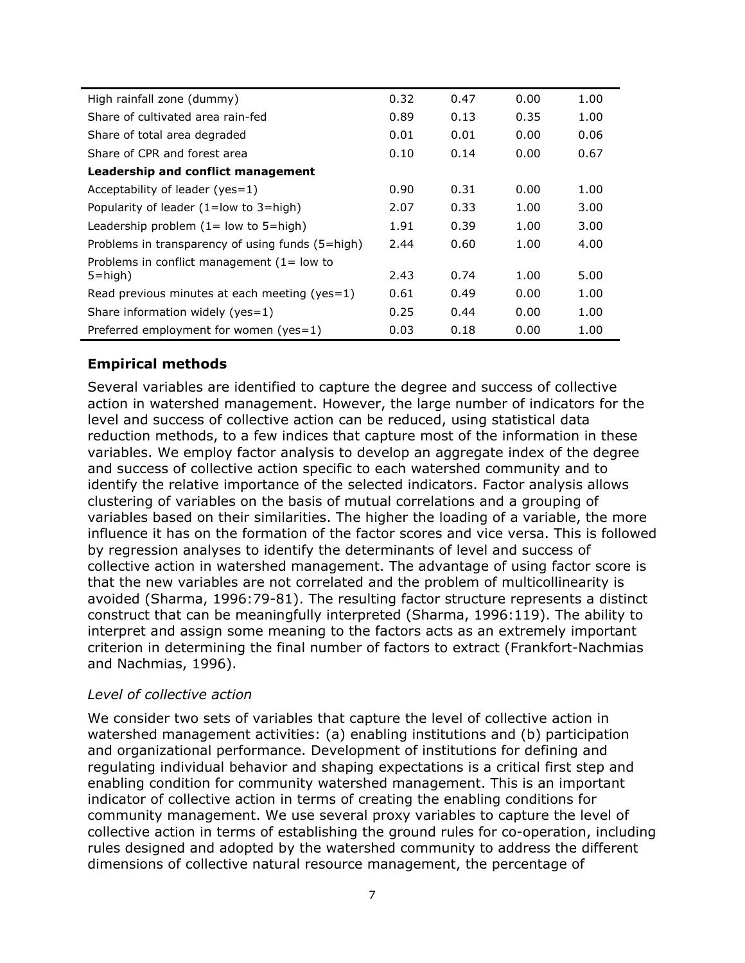| High rainfall zone (dummy)                       | 0.32 | 0.47 | 0.00 | 1.00 |
|--------------------------------------------------|------|------|------|------|
| Share of cultivated area rain-fed                | 0.89 | 0.13 | 0.35 | 1.00 |
| Share of total area degraded                     | 0.01 | 0.01 | 0.00 | 0.06 |
| Share of CPR and forest area                     | 0.10 | 0.14 | 0.00 | 0.67 |
| Leadership and conflict management               |      |      |      |      |
| Acceptability of leader ( $yes=1$ )              | 0.90 | 0.31 | 0.00 | 1.00 |
| Popularity of leader $(1 = low to 3 = high)$     | 2.07 | 0.33 | 1.00 | 3.00 |
| Leadership problem $(1 = low to 5 = high)$       | 1.91 | 0.39 | 1.00 | 3.00 |
| Problems in transparency of using funds (5=high) | 2.44 | 0.60 | 1.00 | 4.00 |
| Problems in conflict management $(1 = low to$    |      |      |      |      |
| $5 = high$                                       | 2.43 | 0.74 | 1.00 | 5.00 |
| Read previous minutes at each meeting (yes=1)    | 0.61 | 0.49 | 0.00 | 1.00 |
| Share information widely ( $yes=1$ )             | 0.25 | 0.44 | 0.00 | 1.00 |
| Preferred employment for women (yes=1)           | 0.03 | 0.18 | 0.00 | 1.00 |

## **Empirical methods**

Several variables are identified to capture the degree and success of collective action in watershed management. However, the large number of indicators for the level and success of collective action can be reduced, using statistical data reduction methods, to a few indices that capture most of the information in these variables. We employ factor analysis to develop an aggregate index of the degree and success of collective action specific to each watershed community and to identify the relative importance of the selected indicators. Factor analysis allows clustering of variables on the basis of mutual correlations and a grouping of variables based on their similarities. The higher the loading of a variable, the more influence it has on the formation of the factor scores and vice versa. This is followed by regression analyses to identify the determinants of level and success of collective action in watershed management. The advantage of using factor score is that the new variables are not correlated and the problem of multicollinearity is avoided (Sharma, 1996:79-81). The resulting factor structure represents a distinct construct that can be meaningfully interpreted (Sharma, 1996:119). The ability to interpret and assign some meaning to the factors acts as an extremely important criterion in determining the final number of factors to extract (Frankfort-Nachmias and Nachmias, 1996).

#### *Level of collective action*

We consider two sets of variables that capture the level of collective action in watershed management activities: (a) enabling institutions and (b) participation and organizational performance. Development of institutions for defining and regulating individual behavior and shaping expectations is a critical first step and enabling condition for community watershed management. This is an important indicator of collective action in terms of creating the enabling conditions for community management. We use several proxy variables to capture the level of collective action in terms of establishing the ground rules for co-operation, including rules designed and adopted by the watershed community to address the different dimensions of collective natural resource management, the percentage of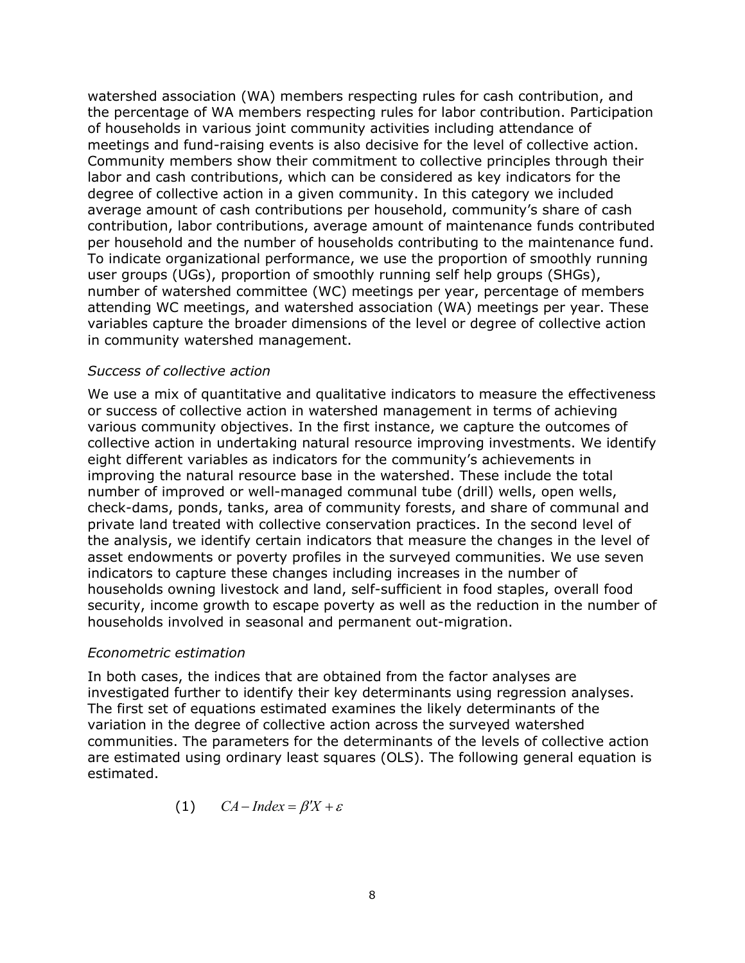watershed association (WA) members respecting rules for cash contribution, and the percentage of WA members respecting rules for labor contribution. Participation of households in various joint community activities including attendance of meetings and fund-raising events is also decisive for the level of collective action. Community members show their commitment to collective principles through their labor and cash contributions, which can be considered as key indicators for the degree of collective action in a given community. In this category we included average amount of cash contributions per household, community's share of cash contribution, labor contributions, average amount of maintenance funds contributed per household and the number of households contributing to the maintenance fund. To indicate organizational performance, we use the proportion of smoothly running user groups (UGs), proportion of smoothly running self help groups (SHGs), number of watershed committee (WC) meetings per year, percentage of members attending WC meetings, and watershed association (WA) meetings per year. These variables capture the broader dimensions of the level or degree of collective action in community watershed management.

#### *Success of collective action*

We use a mix of quantitative and qualitative indicators to measure the effectiveness or success of collective action in watershed management in terms of achieving various community objectives. In the first instance, we capture the outcomes of collective action in undertaking natural resource improving investments. We identify eight different variables as indicators for the community's achievements in improving the natural resource base in the watershed. These include the total number of improved or well-managed communal tube (drill) wells, open wells, check-dams, ponds, tanks, area of community forests, and share of communal and private land treated with collective conservation practices. In the second level of the analysis, we identify certain indicators that measure the changes in the level of asset endowments or poverty profiles in the surveyed communities. We use seven indicators to capture these changes including increases in the number of households owning livestock and land, self-sufficient in food staples, overall food security, income growth to escape poverty as well as the reduction in the number of households involved in seasonal and permanent out-migration.

#### *Econometric estimation*

In both cases, the indices that are obtained from the factor analyses are investigated further to identify their key determinants using regression analyses. The first set of equations estimated examines the likely determinants of the variation in the degree of collective action across the surveyed watershed communities. The parameters for the determinants of the levels of collective action are estimated using ordinary least squares (OLS). The following general equation is estimated.

$$
(1) \qquad CA-Index = \beta'X + \varepsilon
$$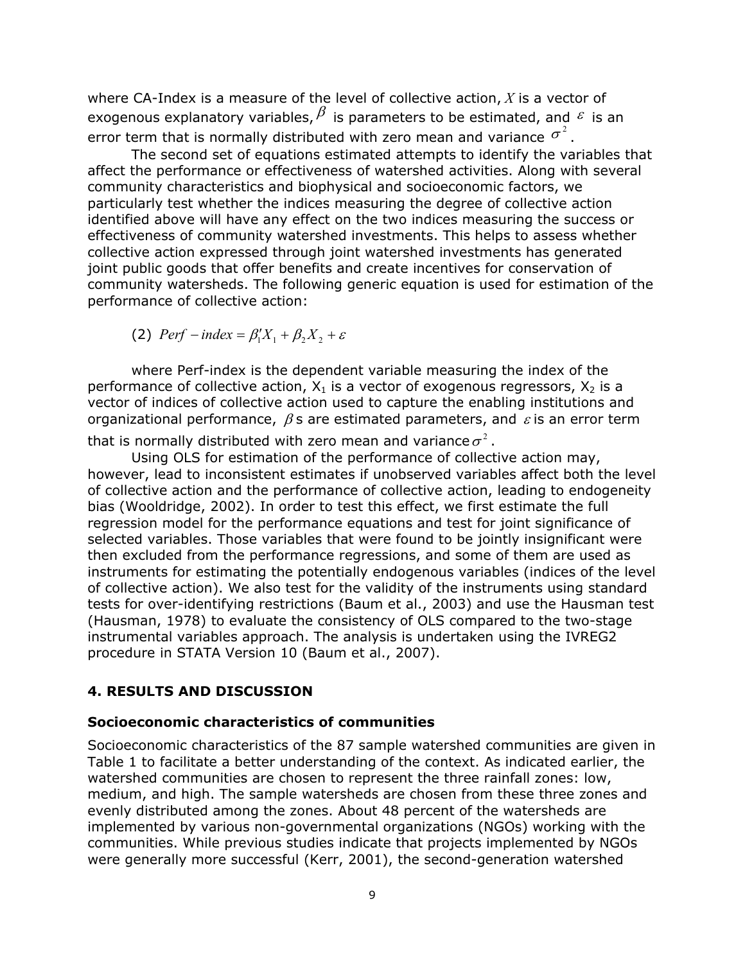where CA-Index is a measure of the level of collective action, *X* is a vector of exogenous explanatory variables,  $\beta$  is parameters to be estimated, and  $\epsilon$  is an error term that is normally distributed with zero mean and variance  $\sigma^2$ .

The second set of equations estimated attempts to identify the variables that affect the performance or effectiveness of watershed activities. Along with several community characteristics and biophysical and socioeconomic factors, we particularly test whether the indices measuring the degree of collective action identified above will have any effect on the two indices measuring the success or effectiveness of community watershed investments. This helps to assess whether collective action expressed through joint watershed investments has generated joint public goods that offer benefits and create incentives for conservation of community watersheds. The following generic equation is used for estimation of the performance of collective action:

(2)  $Perf$  *-index* =  $\beta'_1X_1 + \beta_2X_2 + \varepsilon$ 

where Perf-index is the dependent variable measuring the index of the performance of collective action,  $X_1$  is a vector of exogenous regressors,  $X_2$  is a vector of indices of collective action used to capture the enabling institutions and organizational performance,  $\beta$ s are estimated parameters, and  $\varepsilon$  is an error term

that is normally distributed with zero mean and variance  $\sigma^2$ .

Using OLS for estimation of the performance of collective action may, however, lead to inconsistent estimates if unobserved variables affect both the level of collective action and the performance of collective action, leading to endogeneity bias (Wooldridge, 2002). In order to test this effect, we first estimate the full regression model for the performance equations and test for joint significance of selected variables. Those variables that were found to be jointly insignificant were then excluded from the performance regressions, and some of them are used as instruments for estimating the potentially endogenous variables (indices of the level of collective action). We also test for the validity of the instruments using standard tests for over-identifying restrictions (Baum et al., 2003) and use the Hausman test (Hausman, 1978) to evaluate the consistency of OLS compared to the two-stage instrumental variables approach. The analysis is undertaken using the IVREG2 procedure in STATA Version 10 (Baum et al., 2007).

#### **4. RESULTS AND DISCUSSION**

#### **Socioeconomic characteristics of communities**

Socioeconomic characteristics of the 87 sample watershed communities are given in Table 1 to facilitate a better understanding of the context. As indicated earlier, the watershed communities are chosen to represent the three rainfall zones: low, medium, and high. The sample watersheds are chosen from these three zones and evenly distributed among the zones. About 48 percent of the watersheds are implemented by various non-governmental organizations (NGOs) working with the communities. While previous studies indicate that projects implemented by NGOs were generally more successful (Kerr, 2001), the second-generation watershed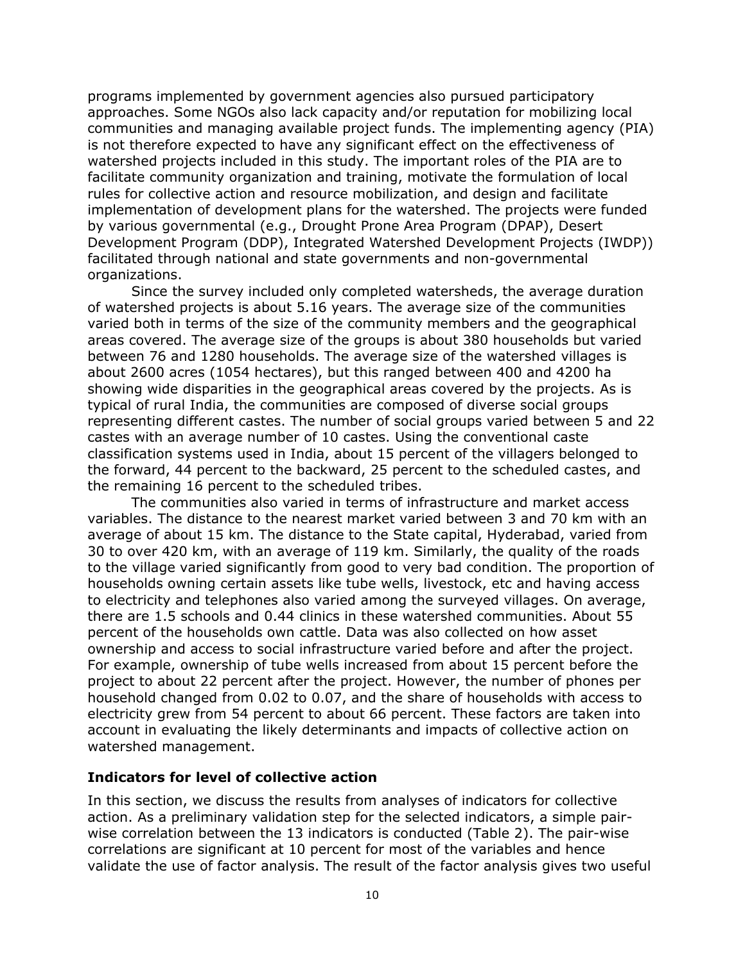programs implemented by government agencies also pursued participatory approaches. Some NGOs also lack capacity and/or reputation for mobilizing local communities and managing available project funds. The implementing agency (PIA) is not therefore expected to have any significant effect on the effectiveness of watershed projects included in this study. The important roles of the PIA are to facilitate community organization and training, motivate the formulation of local rules for collective action and resource mobilization, and design and facilitate implementation of development plans for the watershed. The projects were funded by various governmental (e.g., Drought Prone Area Program (DPAP), Desert Development Program (DDP), Integrated Watershed Development Projects (IWDP)) facilitated through national and state governments and non-governmental organizations.

Since the survey included only completed watersheds, the average duration of watershed projects is about 5.16 years. The average size of the communities varied both in terms of the size of the community members and the geographical areas covered. The average size of the groups is about 380 households but varied between 76 and 1280 households. The average size of the watershed villages is about 2600 acres (1054 hectares), but this ranged between 400 and 4200 ha showing wide disparities in the geographical areas covered by the projects. As is typical of rural India, the communities are composed of diverse social groups representing different castes. The number of social groups varied between 5 and 22 castes with an average number of 10 castes. Using the conventional caste classification systems used in India, about 15 percent of the villagers belonged to the forward, 44 percent to the backward, 25 percent to the scheduled castes, and the remaining 16 percent to the scheduled tribes.

The communities also varied in terms of infrastructure and market access variables. The distance to the nearest market varied between 3 and 70 km with an average of about 15 km. The distance to the State capital, Hyderabad, varied from 30 to over 420 km, with an average of 119 km. Similarly, the quality of the roads to the village varied significantly from good to very bad condition. The proportion of households owning certain assets like tube wells, livestock, etc and having access to electricity and telephones also varied among the surveyed villages. On average, there are 1.5 schools and 0.44 clinics in these watershed communities. About 55 percent of the households own cattle. Data was also collected on how asset ownership and access to social infrastructure varied before and after the project. For example, ownership of tube wells increased from about 15 percent before the project to about 22 percent after the project. However, the number of phones per household changed from 0.02 to 0.07, and the share of households with access to electricity grew from 54 percent to about 66 percent. These factors are taken into account in evaluating the likely determinants and impacts of collective action on watershed management.

#### **Indicators for level of collective action**

In this section, we discuss the results from analyses of indicators for collective action. As a preliminary validation step for the selected indicators, a simple pairwise correlation between the 13 indicators is conducted (Table 2). The pair-wise correlations are significant at 10 percent for most of the variables and hence validate the use of factor analysis. The result of the factor analysis gives two useful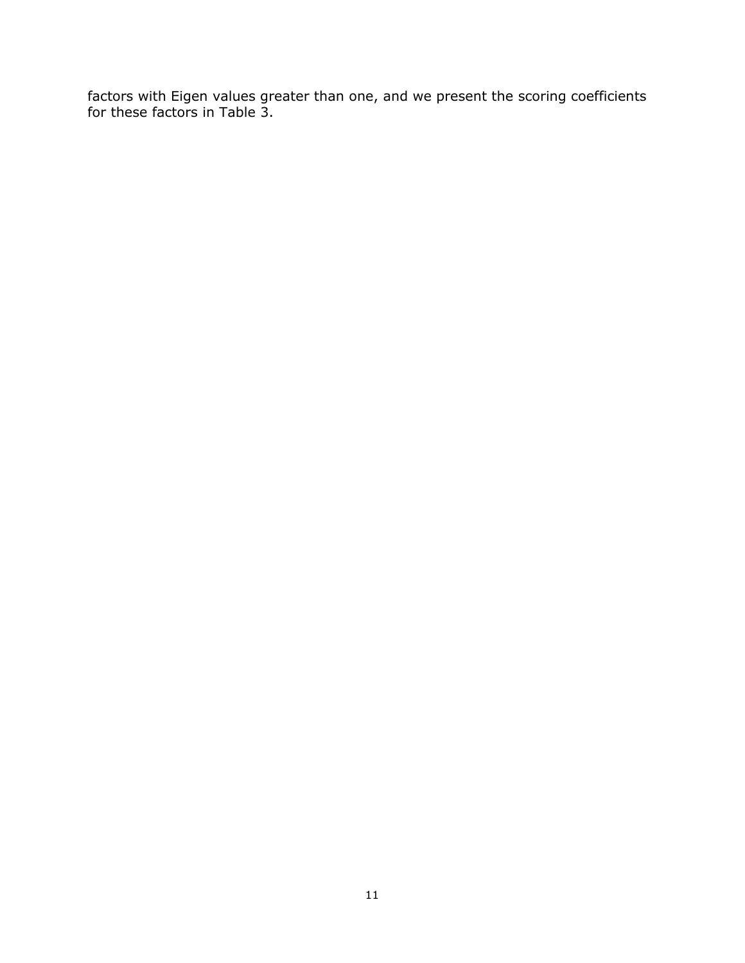factors with Eigen values greater than one, and we present the scoring coefficients for these factors in Table 3.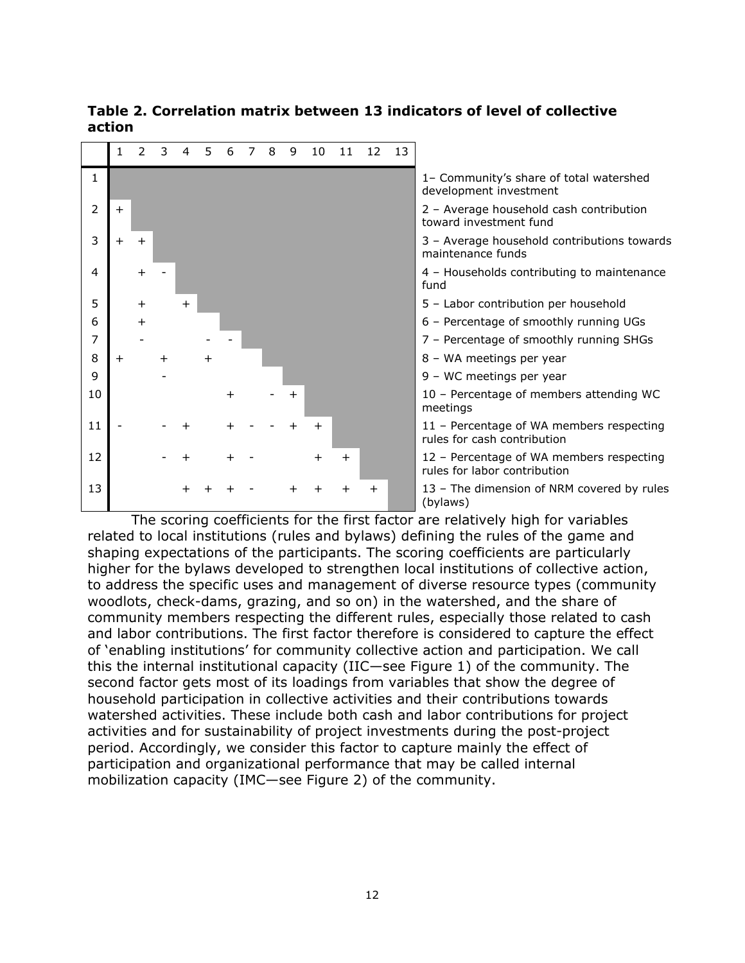



development investment

toward investment fund

maintenance funds

fund

meetings

rules for cash contribution

rules for labor contribution

(bylaws)

The scoring coefficients for the first factor are relatively high for variables related to local institutions (rules and bylaws) defining the rules of the game and shaping expectations of the participants. The scoring coefficients are particularly higher for the bylaws developed to strengthen local institutions of collective action, to address the specific uses and management of diverse resource types (community woodlots, check-dams, grazing, and so on) in the watershed, and the share of community members respecting the different rules, especially those related to cash and labor contributions. The first factor therefore is considered to capture the effect of 'enabling institutions' for community collective action and participation. We call this the internal institutional capacity (IIC—see Figure 1) of the community. The second factor gets most of its loadings from variables that show the degree of household participation in collective activities and their contributions towards watershed activities. These include both cash and labor contributions for project activities and for sustainability of project investments during the post-project period. Accordingly, we consider this factor to capture mainly the effect of participation and organizational performance that may be called internal mobilization capacity (IMC—see Figure 2) of the community.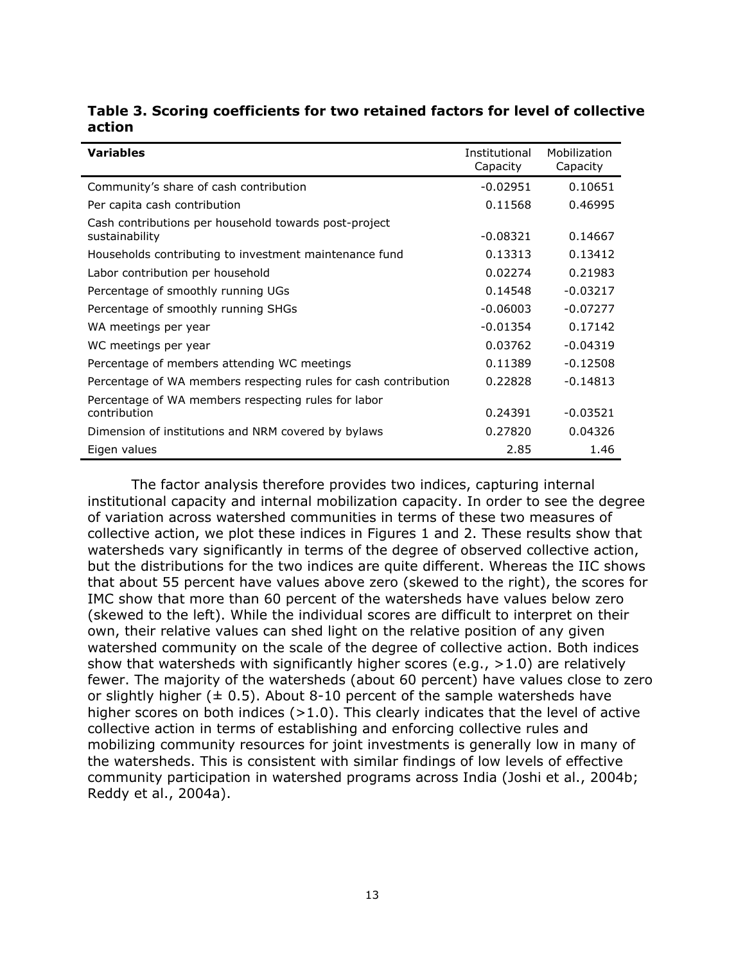| <b>Variables</b>                                                        | Institutional<br>Capacity | Mobilization<br>Capacity |
|-------------------------------------------------------------------------|---------------------------|--------------------------|
| Community's share of cash contribution                                  | $-0.02951$                | 0.10651                  |
| Per capita cash contribution                                            | 0.11568                   | 0.46995                  |
| Cash contributions per household towards post-project<br>sustainability | $-0.08321$                | 0.14667                  |
| Households contributing to investment maintenance fund                  | 0.13313                   | 0.13412                  |
| Labor contribution per household                                        | 0.02274                   | 0.21983                  |
| Percentage of smoothly running UGs                                      | 0.14548                   | $-0.03217$               |
| Percentage of smoothly running SHGs                                     | $-0.06003$                | $-0.07277$               |
| WA meetings per year                                                    | $-0.01354$                | 0.17142                  |
| WC meetings per year                                                    | 0.03762                   | $-0.04319$               |
| Percentage of members attending WC meetings                             | 0.11389                   | $-0.12508$               |
| Percentage of WA members respecting rules for cash contribution         | 0.22828                   | $-0.14813$               |
| Percentage of WA members respecting rules for labor<br>contribution     | 0.24391                   | $-0.03521$               |
| Dimension of institutions and NRM covered by bylaws                     | 0.27820                   | 0.04326                  |
| Eigen values                                                            | 2.85                      | 1.46                     |

#### **Table 3. Scoring coefficients for two retained factors for level of collective action**

The factor analysis therefore provides two indices, capturing internal institutional capacity and internal mobilization capacity. In order to see the degree of variation across watershed communities in terms of these two measures of collective action, we plot these indices in Figures 1 and 2. These results show that watersheds vary significantly in terms of the degree of observed collective action, but the distributions for the two indices are quite different. Whereas the IIC shows that about 55 percent have values above zero (skewed to the right), the scores for IMC show that more than 60 percent of the watersheds have values below zero (skewed to the left). While the individual scores are difficult to interpret on their own, their relative values can shed light on the relative position of any given watershed community on the scale of the degree of collective action. Both indices show that watersheds with significantly higher scores (e.g.,  $>1.0$ ) are relatively fewer. The majority of the watersheds (about 60 percent) have values close to zero or slightly higher  $(\pm 0.5)$ . About 8-10 percent of the sample watersheds have higher scores on both indices  $(>1.0)$ . This clearly indicates that the level of active collective action in terms of establishing and enforcing collective rules and mobilizing community resources for joint investments is generally low in many of the watersheds. This is consistent with similar findings of low levels of effective community participation in watershed programs across India (Joshi et al., 2004b; Reddy et al., 2004a).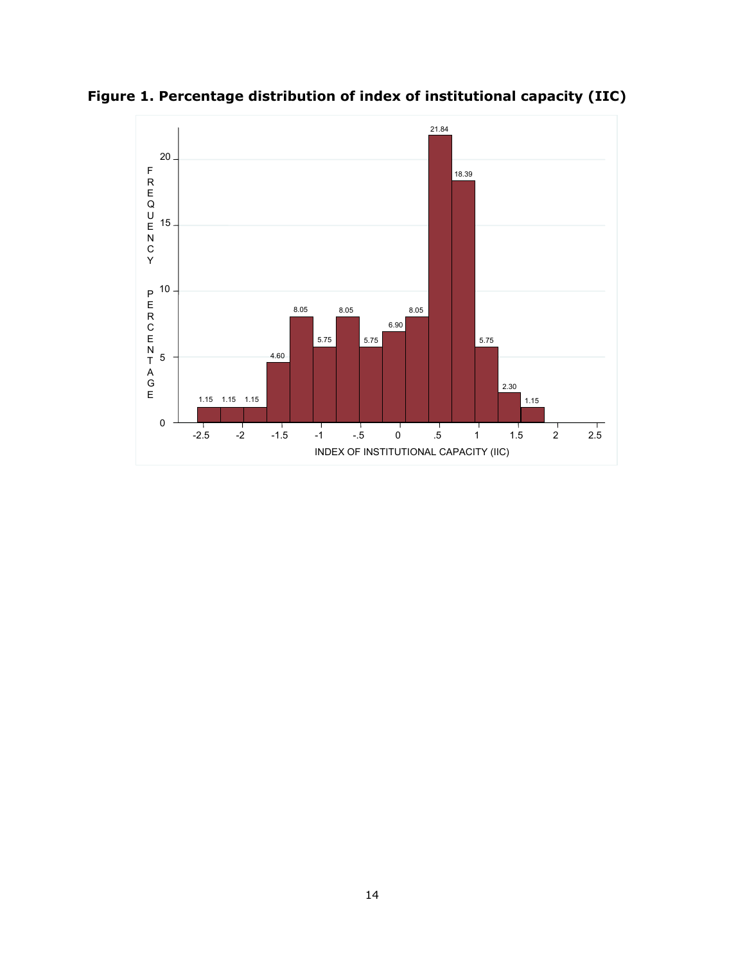

**Figure 1. Percentage distribution of index of institutional capacity (IIC)**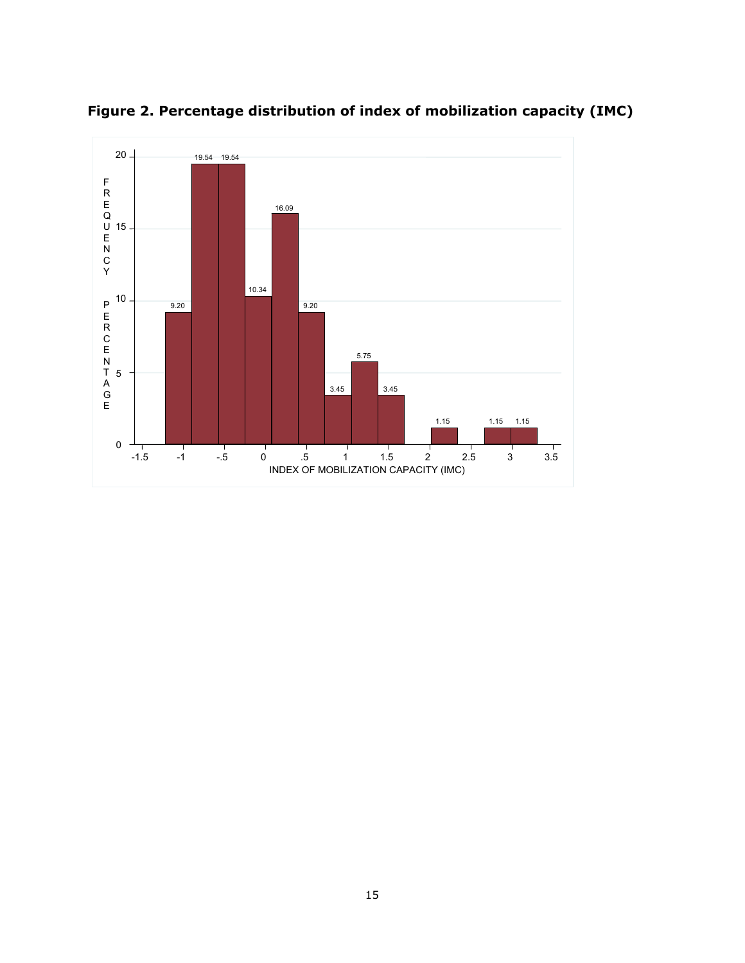

**Figure 2. Percentage distribution of index of mobilization capacity (IMC)**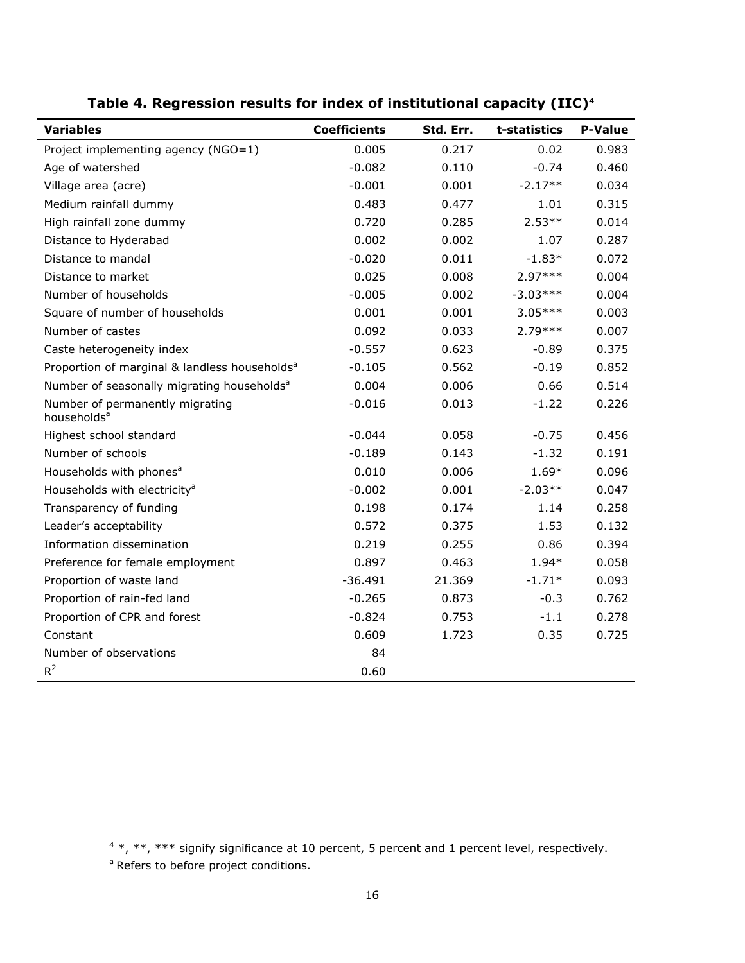| <b>Variables</b>                                           | <b>Coefficients</b> | Std. Err. | t-statistics | <b>P-Value</b> |
|------------------------------------------------------------|---------------------|-----------|--------------|----------------|
| Project implementing agency (NGO=1)                        | 0.005               | 0.217     | 0.02         | 0.983          |
| Age of watershed                                           | $-0.082$            | 0.110     | $-0.74$      | 0.460          |
| Village area (acre)                                        | $-0.001$            | 0.001     | $-2.17**$    | 0.034          |
| Medium rainfall dummy                                      | 0.483               | 0.477     | 1.01         | 0.315          |
| High rainfall zone dummy                                   | 0.720               | 0.285     | $2.53**$     | 0.014          |
| Distance to Hyderabad                                      | 0.002               | 0.002     | 1.07         | 0.287          |
| Distance to mandal                                         | $-0.020$            | 0.011     | $-1.83*$     | 0.072          |
| Distance to market                                         | 0.025               | 0.008     | $2.97***$    | 0.004          |
| Number of households                                       | $-0.005$            | 0.002     | $-3.03***$   | 0.004          |
| Square of number of households                             | 0.001               | 0.001     | $3.05***$    | 0.003          |
| Number of castes                                           | 0.092               | 0.033     | $2.79***$    | 0.007          |
| Caste heterogeneity index                                  | $-0.557$            | 0.623     | $-0.89$      | 0.375          |
| Proportion of marginal & landless households <sup>a</sup>  | $-0.105$            | 0.562     | $-0.19$      | 0.852          |
| Number of seasonally migrating households <sup>a</sup>     | 0.004               | 0.006     | 0.66         | 0.514          |
| Number of permanently migrating<br>households <sup>a</sup> | $-0.016$            | 0.013     | $-1.22$      | 0.226          |
| Highest school standard                                    | $-0.044$            | 0.058     | $-0.75$      | 0.456          |
| Number of schools                                          | $-0.189$            | 0.143     | $-1.32$      | 0.191          |
| Households with phones <sup>a</sup>                        | 0.010               | 0.006     | $1.69*$      | 0.096          |
| Households with electricity <sup>a</sup>                   | $-0.002$            | 0.001     | $-2.03**$    | 0.047          |
| Transparency of funding                                    | 0.198               | 0.174     | 1.14         | 0.258          |
| Leader's acceptability                                     | 0.572               | 0.375     | 1.53         | 0.132          |
| Information dissemination                                  | 0.219               | 0.255     | 0.86         | 0.394          |
| Preference for female employment                           | 0.897               | 0.463     | 1.94*        | 0.058          |
| Proportion of waste land                                   | $-36.491$           | 21.369    | $-1.71*$     | 0.093          |
| Proportion of rain-fed land                                | $-0.265$            | 0.873     | $-0.3$       | 0.762          |
| Proportion of CPR and forest                               | $-0.824$            | 0.753     | $-1.1$       | 0.278          |
| Constant                                                   | 0.609               | 1.723     | 0.35         | 0.725          |
| Number of observations                                     | 84                  |           |              |                |
| $R^2$                                                      | 0.60                |           |              |                |

**Table 4. Regression results for index of institutional capacity (IIC)4**

<sup>a</sup> Refers to before project conditions.

l

 $4$  \*, \*\*, \*\*\* signify significance at 10 percent, 5 percent and 1 percent level, respectively.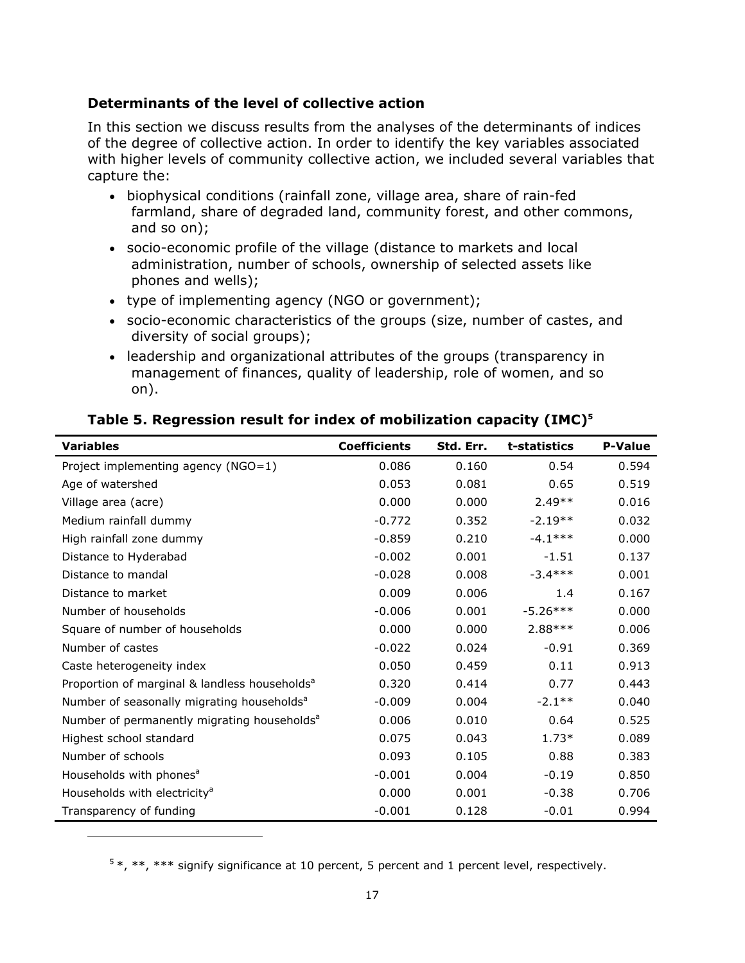## **Determinants of the level of collective action**

In this section we discuss results from the analyses of the determinants of indices of the degree of collective action. In order to identify the key variables associated with higher levels of community collective action, we included several variables that capture the:

- biophysical conditions (rainfall zone, village area, share of rain-fed farmland, share of degraded land, community forest, and other commons, and so on);
- socio-economic profile of the village (distance to markets and local administration, number of schools, ownership of selected assets like phones and wells);
- type of implementing agency (NGO or government);
- socio-economic characteristics of the groups (size, number of castes, and diversity of social groups);
- leadership and organizational attributes of the groups (transparency in management of finances, quality of leadership, role of women, and so on).

| <b>Variables</b>                                          | <b>Coefficients</b> | Std. Err. | t-statistics | <b>P-Value</b> |
|-----------------------------------------------------------|---------------------|-----------|--------------|----------------|
| Project implementing agency (NGO=1)                       | 0.086               | 0.160     | 0.54         | 0.594          |
| Age of watershed                                          | 0.053               | 0.081     | 0.65         | 0.519          |
| Village area (acre)                                       | 0.000               | 0.000     | $2.49**$     | 0.016          |
| Medium rainfall dummy                                     | $-0.772$            | 0.352     | $-2.19**$    | 0.032          |
| High rainfall zone dummy                                  | $-0.859$            | 0.210     | $-4.1***$    | 0.000          |
| Distance to Hyderabad                                     | $-0.002$            | 0.001     | $-1.51$      | 0.137          |
| Distance to mandal                                        | $-0.028$            | 0.008     | $-3.4***$    | 0.001          |
| Distance to market                                        | 0.009               | 0.006     | 1.4          | 0.167          |
| Number of households                                      | $-0.006$            | 0.001     | $-5.26***$   | 0.000          |
| Square of number of households                            | 0.000               | 0.000     | $2.88***$    | 0.006          |
| Number of castes                                          | $-0.022$            | 0.024     | $-0.91$      | 0.369          |
| Caste heterogeneity index                                 | 0.050               | 0.459     | 0.11         | 0.913          |
| Proportion of marginal & landless households <sup>a</sup> | 0.320               | 0.414     | 0.77         | 0.443          |
| Number of seasonally migrating households <sup>a</sup>    | $-0.009$            | 0.004     | $-2.1***$    | 0.040          |
| Number of permanently migrating households <sup>a</sup>   | 0.006               | 0.010     | 0.64         | 0.525          |
| Highest school standard                                   | 0.075               | 0.043     | $1.73*$      | 0.089          |
| Number of schools                                         | 0.093               | 0.105     | 0.88         | 0.383          |
| Households with phones <sup>a</sup>                       | $-0.001$            | 0.004     | $-0.19$      | 0.850          |
| Households with electricity <sup>a</sup>                  | 0.000               | 0.001     | $-0.38$      | 0.706          |
| Transparency of funding                                   | $-0.001$            | 0.128     | $-0.01$      | 0.994          |

## **Table 5. Regression result for index of mobilization capacity (IMC)5**

 $5*, **$ , \*\*\* signify significance at 10 percent, 5 percent and 1 percent level, respectively.

l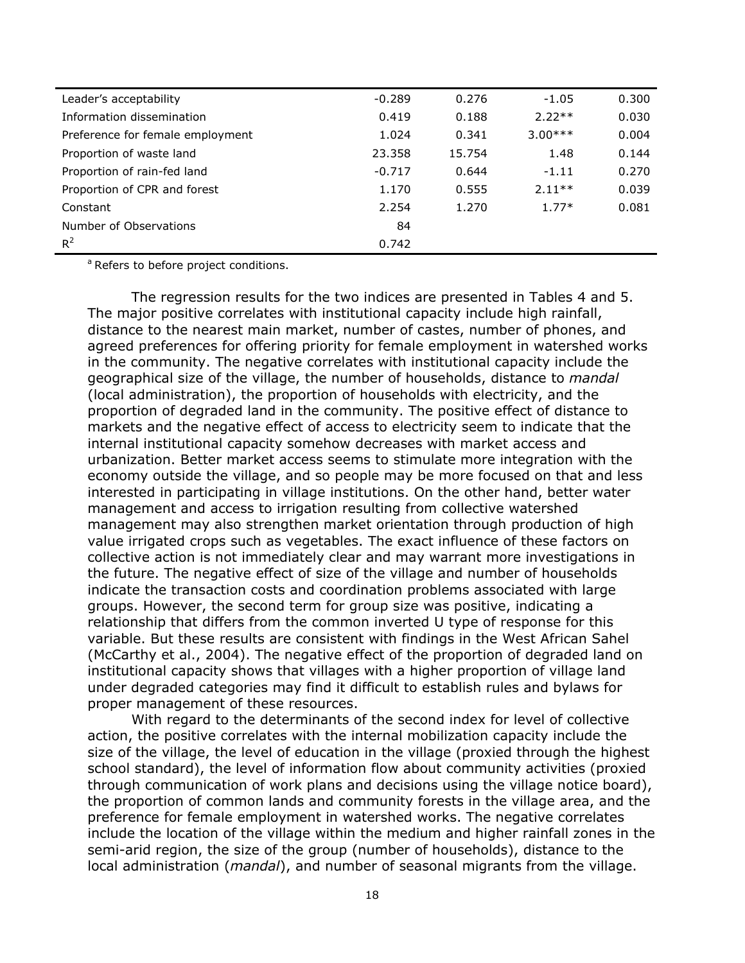| Leader's acceptability           | $-0.289$ | 0.276  | $-1.05$   | 0.300 |
|----------------------------------|----------|--------|-----------|-------|
| Information dissemination        | 0.419    | 0.188  | $2.22**$  | 0.030 |
| Preference for female employment | 1.024    | 0.341  | $3.00***$ | 0.004 |
| Proportion of waste land         | 23.358   | 15.754 | 1.48      | 0.144 |
| Proportion of rain-fed land      | $-0.717$ | 0.644  | $-1.11$   | 0.270 |
| Proportion of CPR and forest     | 1.170    | 0.555  | $2.11**$  | 0.039 |
| Constant                         | 2.254    | 1.270  | $1.77*$   | 0.081 |
| Number of Observations           | 84       |        |           |       |
| $R^2$                            | 0.742    |        |           |       |

<sup>a</sup> Refers to before project conditions.

The regression results for the two indices are presented in Tables 4 and 5. The major positive correlates with institutional capacity include high rainfall, distance to the nearest main market, number of castes, number of phones, and agreed preferences for offering priority for female employment in watershed works in the community. The negative correlates with institutional capacity include the geographical size of the village, the number of households, distance to *mandal* (local administration), the proportion of households with electricity, and the proportion of degraded land in the community. The positive effect of distance to markets and the negative effect of access to electricity seem to indicate that the internal institutional capacity somehow decreases with market access and urbanization. Better market access seems to stimulate more integration with the economy outside the village, and so people may be more focused on that and less interested in participating in village institutions. On the other hand, better water management and access to irrigation resulting from collective watershed management may also strengthen market orientation through production of high value irrigated crops such as vegetables. The exact influence of these factors on collective action is not immediately clear and may warrant more investigations in the future. The negative effect of size of the village and number of households indicate the transaction costs and coordination problems associated with large groups. However, the second term for group size was positive, indicating a relationship that differs from the common inverted U type of response for this variable. But these results are consistent with findings in the West African Sahel (McCarthy et al., 2004). The negative effect of the proportion of degraded land on institutional capacity shows that villages with a higher proportion of village land under degraded categories may find it difficult to establish rules and bylaws for proper management of these resources.

With regard to the determinants of the second index for level of collective action, the positive correlates with the internal mobilization capacity include the size of the village, the level of education in the village (proxied through the highest school standard), the level of information flow about community activities (proxied through communication of work plans and decisions using the village notice board), the proportion of common lands and community forests in the village area, and the preference for female employment in watershed works. The negative correlates include the location of the village within the medium and higher rainfall zones in the semi-arid region, the size of the group (number of households), distance to the local administration (*mandal*), and number of seasonal migrants from the village.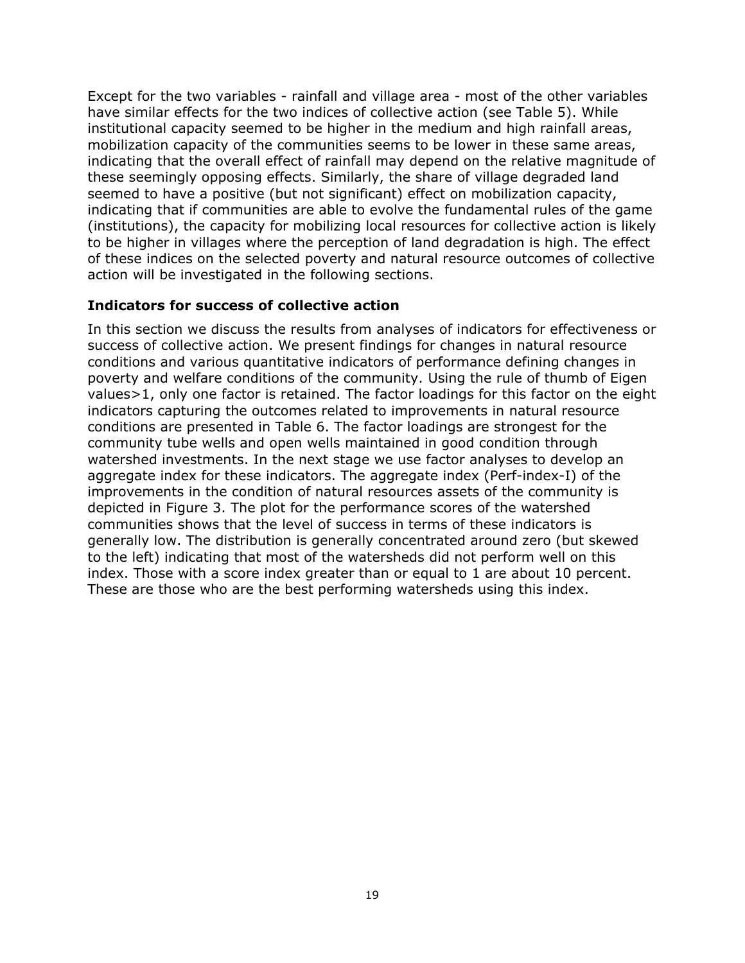Except for the two variables - rainfall and village area - most of the other variables have similar effects for the two indices of collective action (see Table 5). While institutional capacity seemed to be higher in the medium and high rainfall areas, mobilization capacity of the communities seems to be lower in these same areas, indicating that the overall effect of rainfall may depend on the relative magnitude of these seemingly opposing effects. Similarly, the share of village degraded land seemed to have a positive (but not significant) effect on mobilization capacity, indicating that if communities are able to evolve the fundamental rules of the game (institutions), the capacity for mobilizing local resources for collective action is likely to be higher in villages where the perception of land degradation is high. The effect of these indices on the selected poverty and natural resource outcomes of collective action will be investigated in the following sections.

#### **Indicators for success of collective action**

In this section we discuss the results from analyses of indicators for effectiveness or success of collective action. We present findings for changes in natural resource conditions and various quantitative indicators of performance defining changes in poverty and welfare conditions of the community. Using the rule of thumb of Eigen values>1, only one factor is retained. The factor loadings for this factor on the eight indicators capturing the outcomes related to improvements in natural resource conditions are presented in Table 6. The factor loadings are strongest for the community tube wells and open wells maintained in good condition through watershed investments. In the next stage we use factor analyses to develop an aggregate index for these indicators. The aggregate index (Perf-index-I) of the improvements in the condition of natural resources assets of the community is depicted in Figure 3. The plot for the performance scores of the watershed communities shows that the level of success in terms of these indicators is generally low. The distribution is generally concentrated around zero (but skewed to the left) indicating that most of the watersheds did not perform well on this index. Those with a score index greater than or equal to 1 are about 10 percent. These are those who are the best performing watersheds using this index.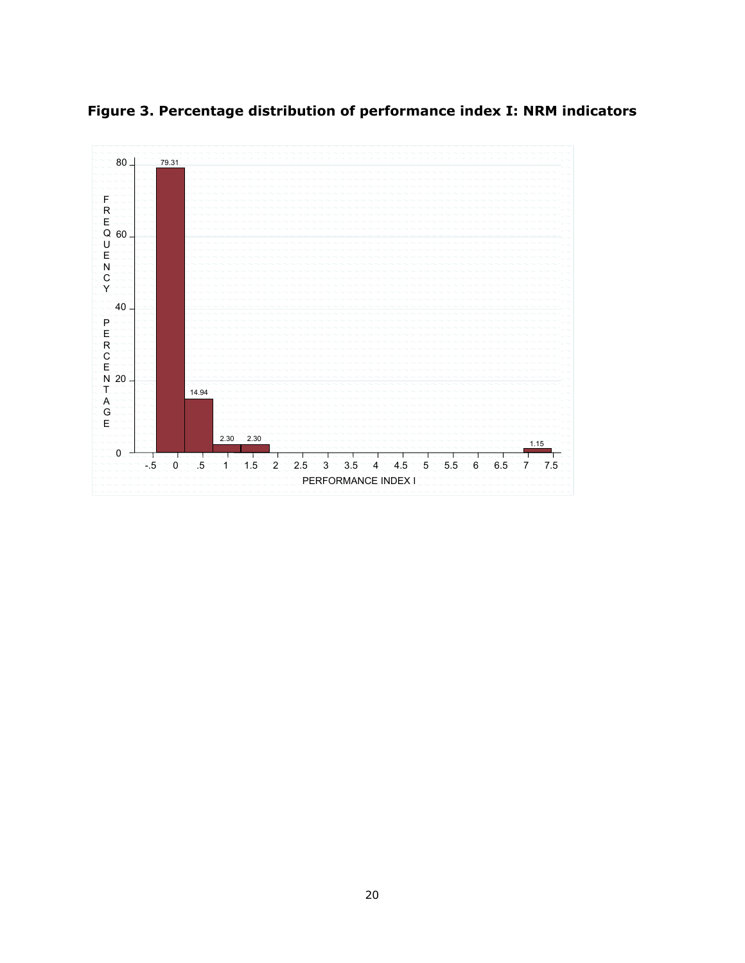**Figure 3. Percentage distribution of performance index I: NRM indicators** 

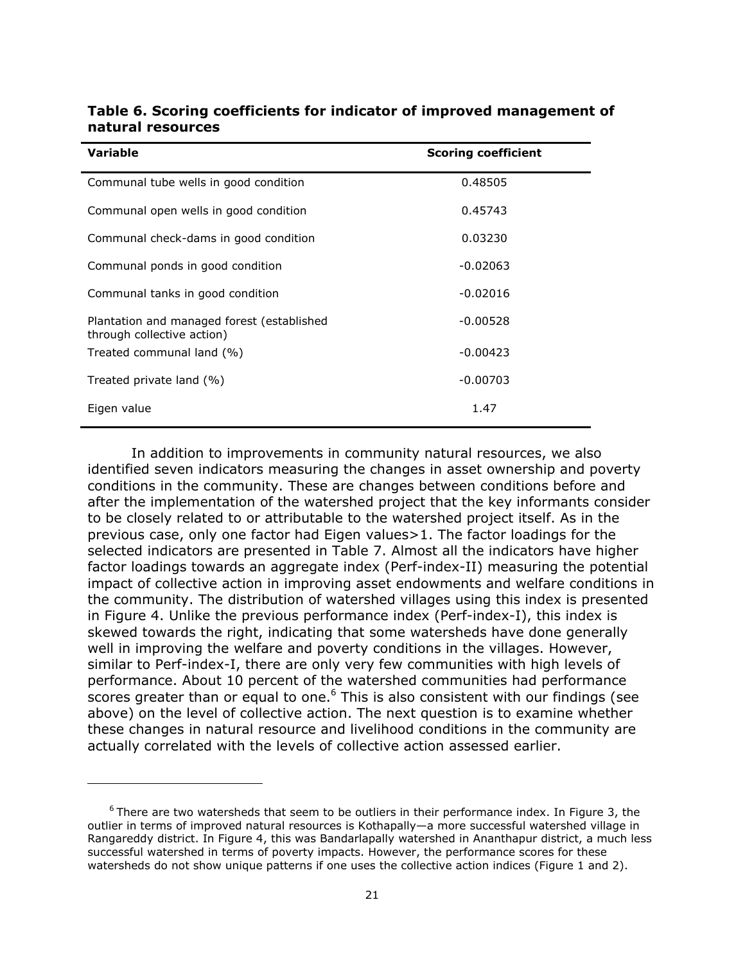| <b>Variable</b>                                                          | <b>Scoring coefficient</b> |
|--------------------------------------------------------------------------|----------------------------|
| Communal tube wells in good condition                                    | 0.48505                    |
| Communal open wells in good condition                                    | 0.45743                    |
| Communal check-dams in good condition                                    | 0.03230                    |
| Communal ponds in good condition                                         | $-0.02063$                 |
| Communal tanks in good condition                                         | $-0.02016$                 |
| Plantation and managed forest (established<br>through collective action) | $-0.00528$                 |
| Treated communal land (%)                                                | $-0.00423$                 |
| Treated private land (%)                                                 | $-0.00703$                 |
| Eigen value                                                              | 1.47                       |

#### **Table 6. Scoring coefficients for indicator of improved management of natural resources**

In addition to improvements in community natural resources, we also identified seven indicators measuring the changes in asset ownership and poverty conditions in the community. These are changes between conditions before and after the implementation of the watershed project that the key informants consider to be closely related to or attributable to the watershed project itself. As in the previous case, only one factor had Eigen values>1. The factor loadings for the selected indicators are presented in Table 7. Almost all the indicators have higher factor loadings towards an aggregate index (Perf-index-II) measuring the potential impact of collective action in improving asset endowments and welfare conditions in the community. The distribution of watershed villages using this index is presented in Figure 4. Unlike the previous performance index (Perf-index-I), this index is skewed towards the right, indicating that some watersheds have done generally well in improving the welfare and poverty conditions in the villages. However, similar to Perf-index-I, there are only very few communities with high levels of performance. About 10 percent of the watershed communities had performance scores greater than or equal to one.<sup>6</sup> This is also consistent with our findings (see above) on the level of collective action. The next question is to examine whether these changes in natural resource and livelihood conditions in the community are actually correlated with the levels of collective action assessed earlier.

1

 $6$  There are two watersheds that seem to be outliers in their performance index. In Figure 3, the outlier in terms of improved natural resources is Kothapally—a more successful watershed village in Rangareddy district. In Figure 4, this was Bandarlapally watershed in Ananthapur district, a much less successful watershed in terms of poverty impacts. However, the performance scores for these watersheds do not show unique patterns if one uses the collective action indices (Figure 1 and 2).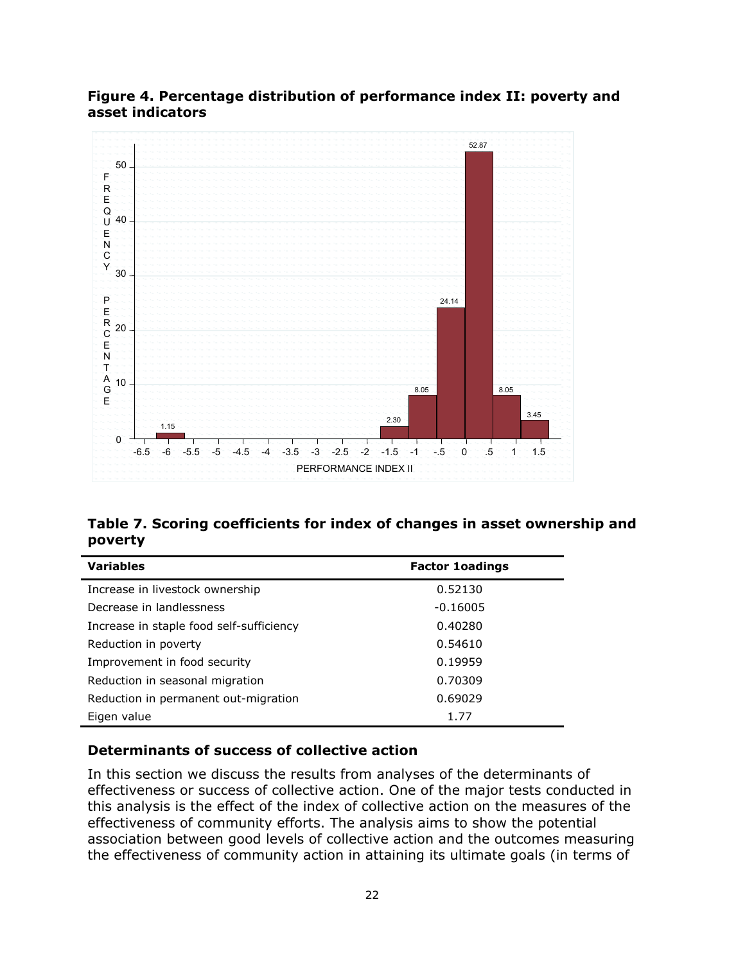## **Figure 4. Percentage distribution of performance index II: poverty and asset indicators**



## **Table 7. Scoring coefficients for index of changes in asset ownership and poverty**

| <b>Variables</b>                         | <b>Factor 1oadings</b> |
|------------------------------------------|------------------------|
| Increase in livestock ownership          | 0.52130                |
| Decrease in landlessness                 | $-0.16005$             |
| Increase in staple food self-sufficiency | 0.40280                |
| Reduction in poverty                     | 0.54610                |
| Improvement in food security             | 0.19959                |
| Reduction in seasonal migration          | 0.70309                |
| Reduction in permanent out-migration     | 0.69029                |
| Eigen value                              | 1.77                   |

## **Determinants of success of collective action**

In this section we discuss the results from analyses of the determinants of effectiveness or success of collective action. One of the major tests conducted in this analysis is the effect of the index of collective action on the measures of the effectiveness of community efforts. The analysis aims to show the potential association between good levels of collective action and the outcomes measuring the effectiveness of community action in attaining its ultimate goals (in terms of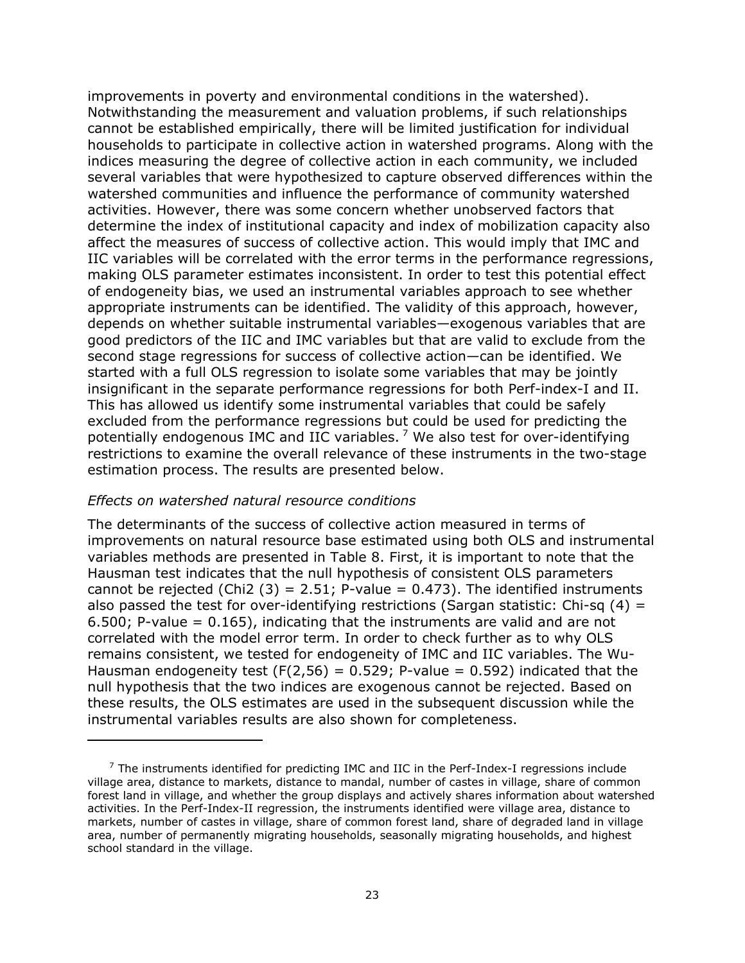improvements in poverty and environmental conditions in the watershed). Notwithstanding the measurement and valuation problems, if such relationships cannot be established empirically, there will be limited justification for individual households to participate in collective action in watershed programs. Along with the indices measuring the degree of collective action in each community, we included several variables that were hypothesized to capture observed differences within the watershed communities and influence the performance of community watershed activities. However, there was some concern whether unobserved factors that determine the index of institutional capacity and index of mobilization capacity also affect the measures of success of collective action. This would imply that IMC and IIC variables will be correlated with the error terms in the performance regressions, making OLS parameter estimates inconsistent. In order to test this potential effect of endogeneity bias, we used an instrumental variables approach to see whether appropriate instruments can be identified. The validity of this approach, however, depends on whether suitable instrumental variables—exogenous variables that are good predictors of the IIC and IMC variables but that are valid to exclude from the second stage regressions for success of collective action—can be identified. We started with a full OLS regression to isolate some variables that may be jointly insignificant in the separate performance regressions for both Perf-index-I and II. This has allowed us identify some instrumental variables that could be safely excluded from the performance regressions but could be used for predicting the potentially endogenous IMC and IIC variables.<sup>7</sup> We also test for over-identifying restrictions to examine the overall relevance of these instruments in the two-stage estimation process. The results are presented below.

#### *Effects on watershed natural resource conditions*

l

The determinants of the success of collective action measured in terms of improvements on natural resource base estimated using both OLS and instrumental variables methods are presented in Table 8. First, it is important to note that the Hausman test indicates that the null hypothesis of consistent OLS parameters cannot be rejected (Chi2 (3) = 2.51; P-value = 0.473). The identified instruments also passed the test for over-identifying restrictions (Sargan statistic: Chi-sq  $(4)$  = 6.500; P-value =  $0.165$ ), indicating that the instruments are valid and are not correlated with the model error term. In order to check further as to why OLS remains consistent, we tested for endogeneity of IMC and IIC variables. The Wu-Hausman endogeneity test (F(2,56) =  $0.529$ ; P-value = 0.592) indicated that the null hypothesis that the two indices are exogenous cannot be rejected. Based on these results, the OLS estimates are used in the subsequent discussion while the instrumental variables results are also shown for completeness.

 $7$  The instruments identified for predicting IMC and IIC in the Perf-Index-I regressions include village area, distance to markets, distance to mandal, number of castes in village, share of common forest land in village, and whether the group displays and actively shares information about watershed activities. In the Perf-Index-II regression, the instruments identified were village area, distance to markets, number of castes in village, share of common forest land, share of degraded land in village area, number of permanently migrating households, seasonally migrating households, and highest school standard in the village.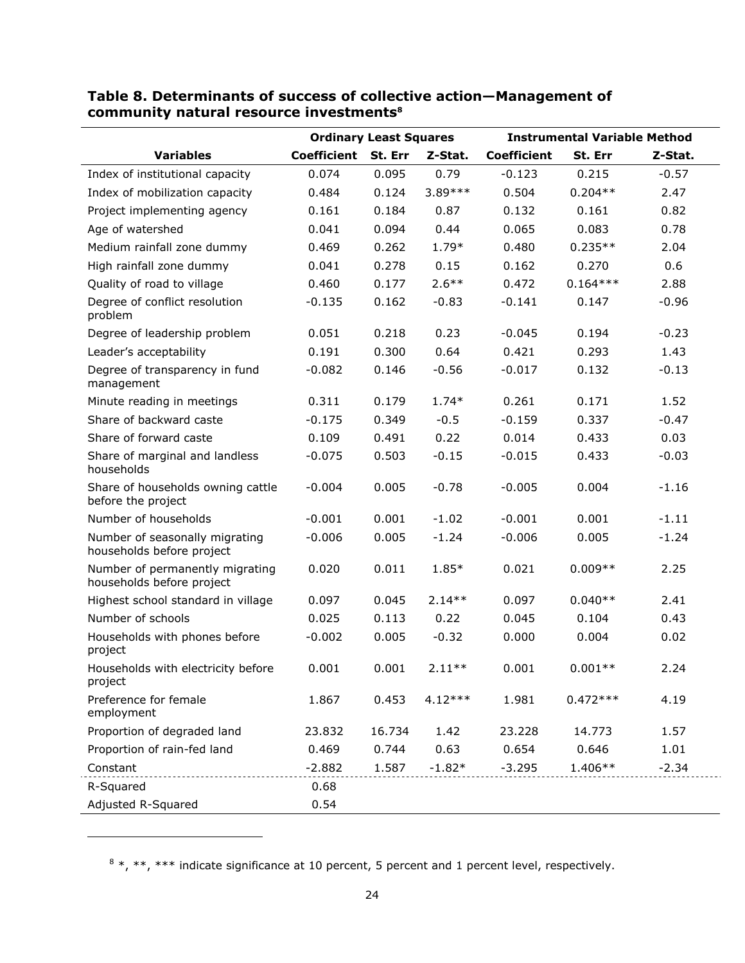|                                                              |                    | <b>Ordinary Least Squares</b> |           |                    | <b>Instrumental Variable Method</b> |         |
|--------------------------------------------------------------|--------------------|-------------------------------|-----------|--------------------|-------------------------------------|---------|
| <b>Variables</b>                                             | <b>Coefficient</b> | St. Err                       | Z-Stat.   | <b>Coefficient</b> | St. Err                             | Z-Stat. |
| Index of institutional capacity                              | 0.074              | 0.095                         | 0.79      | $-0.123$           | 0.215                               | $-0.57$ |
| Index of mobilization capacity                               | 0.484              | 0.124                         | 3.89***   | 0.504              | $0.204**$                           | 2.47    |
| Project implementing agency                                  | 0.161              | 0.184                         | 0.87      | 0.132              | 0.161                               | 0.82    |
| Age of watershed                                             | 0.041              | 0.094                         | 0.44      | 0.065              | 0.083                               | 0.78    |
| Medium rainfall zone dummy                                   | 0.469              | 0.262                         | $1.79*$   | 0.480              | $0.235**$                           | 2.04    |
| High rainfall zone dummy                                     | 0.041              | 0.278                         | 0.15      | 0.162              | 0.270                               | 0.6     |
| Quality of road to village                                   | 0.460              | 0.177                         | $2.6***$  | 0.472              | $0.164***$                          | 2.88    |
| Degree of conflict resolution<br>problem                     | $-0.135$           | 0.162                         | $-0.83$   | $-0.141$           | 0.147                               | $-0.96$ |
| Degree of leadership problem                                 | 0.051              | 0.218                         | 0.23      | $-0.045$           | 0.194                               | $-0.23$ |
| Leader's acceptability                                       | 0.191              | 0.300                         | 0.64      | 0.421              | 0.293                               | 1.43    |
| Degree of transparency in fund<br>management                 | $-0.082$           | 0.146                         | $-0.56$   | $-0.017$           | 0.132                               | $-0.13$ |
| Minute reading in meetings                                   | 0.311              | 0.179                         | $1.74*$   | 0.261              | 0.171                               | 1.52    |
| Share of backward caste                                      | $-0.175$           | 0.349                         | $-0.5$    | $-0.159$           | 0.337                               | $-0.47$ |
| Share of forward caste                                       | 0.109              | 0.491                         | 0.22      | 0.014              | 0.433                               | 0.03    |
| Share of marginal and landless<br>households                 | $-0.075$           | 0.503                         | $-0.15$   | $-0.015$           | 0.433                               | $-0.03$ |
| Share of households owning cattle<br>before the project      | $-0.004$           | 0.005                         | $-0.78$   | $-0.005$           | 0.004                               | $-1.16$ |
| Number of households                                         | $-0.001$           | 0.001                         | $-1.02$   | $-0.001$           | 0.001                               | $-1.11$ |
| Number of seasonally migrating<br>households before project  | $-0.006$           | 0.005                         | $-1.24$   | $-0.006$           | 0.005                               | $-1.24$ |
| Number of permanently migrating<br>households before project | 0.020              | 0.011                         | 1.85*     | 0.021              | $0.009**$                           | 2.25    |
| Highest school standard in village                           | 0.097              | 0.045                         | $2.14**$  | 0.097              | $0.040**$                           | 2.41    |
| Number of schools                                            | 0.025              | 0.113                         | 0.22      | 0.045              | 0.104                               | 0.43    |
| Households with phones before<br>project                     | $-0.002$           | 0.005                         | $-0.32$   | 0.000              | 0.004                               | 0.02    |
| Households with electricity before<br>project                | 0.001              | 0.001                         | $2.11***$ | 0.001              | $0.001**$                           | 2.24    |
| Preference for female<br>employment                          | 1.867              | 0.453                         | $4.12***$ | 1.981              | $0.472***$                          | 4.19    |
| Proportion of degraded land                                  | 23.832             | 16.734                        | 1.42      | 23.228             | 14.773                              | 1.57    |
| Proportion of rain-fed land                                  | 0.469              | 0.744                         | 0.63      | 0.654              | 0.646                               | 1.01    |
| Constant                                                     | $-2.882$           | 1.587                         | $-1.82*$  | $-3.295$           | $1.406**$                           | $-2.34$ |
| R-Squared                                                    | 0.68               |                               |           |                    |                                     |         |
| Adjusted R-Squared                                           | 0.54               |                               |           |                    |                                     |         |

## **Table 8. Determinants of success of collective action—Management of community natural resource investments8**

l

 $8*, **$ ,  $***$  indicate significance at 10 percent, 5 percent and 1 percent level, respectively.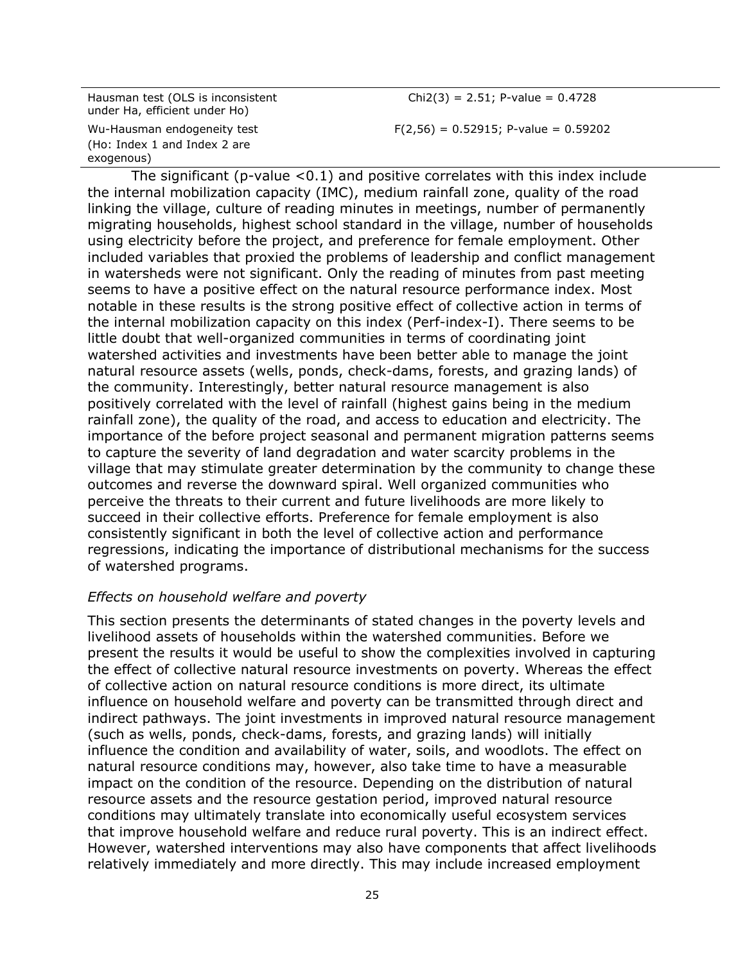Hausman test (OLS is inconsistent under Ha, efficient under Ho) Wu-Hausman endogeneity test (Ho: Index 1 and Index 2 are exogenous)

 $Chi(3) = 2.51$ ; P-value = 0.4728  $F(2,56) = 0.52915$ ; P-value = 0.59202

The significant (p-value  $< 0.1$ ) and positive correlates with this index include the internal mobilization capacity (IMC), medium rainfall zone, quality of the road linking the village, culture of reading minutes in meetings, number of permanently migrating households, highest school standard in the village, number of households using electricity before the project, and preference for female employment. Other included variables that proxied the problems of leadership and conflict management in watersheds were not significant. Only the reading of minutes from past meeting seems to have a positive effect on the natural resource performance index. Most notable in these results is the strong positive effect of collective action in terms of the internal mobilization capacity on this index (Perf-index-I). There seems to be little doubt that well-organized communities in terms of coordinating joint watershed activities and investments have been better able to manage the joint natural resource assets (wells, ponds, check-dams, forests, and grazing lands) of the community. Interestingly, better natural resource management is also positively correlated with the level of rainfall (highest gains being in the medium rainfall zone), the quality of the road, and access to education and electricity. The importance of the before project seasonal and permanent migration patterns seems to capture the severity of land degradation and water scarcity problems in the village that may stimulate greater determination by the community to change these outcomes and reverse the downward spiral. Well organized communities who perceive the threats to their current and future livelihoods are more likely to succeed in their collective efforts. Preference for female employment is also consistently significant in both the level of collective action and performance regressions, indicating the importance of distributional mechanisms for the success of watershed programs.

#### *Effects on household welfare and poverty*

This section presents the determinants of stated changes in the poverty levels and livelihood assets of households within the watershed communities. Before we present the results it would be useful to show the complexities involved in capturing the effect of collective natural resource investments on poverty. Whereas the effect of collective action on natural resource conditions is more direct, its ultimate influence on household welfare and poverty can be transmitted through direct and indirect pathways. The joint investments in improved natural resource management (such as wells, ponds, check-dams, forests, and grazing lands) will initially influence the condition and availability of water, soils, and woodlots. The effect on natural resource conditions may, however, also take time to have a measurable impact on the condition of the resource. Depending on the distribution of natural resource assets and the resource gestation period, improved natural resource conditions may ultimately translate into economically useful ecosystem services that improve household welfare and reduce rural poverty. This is an indirect effect. However, watershed interventions may also have components that affect livelihoods relatively immediately and more directly. This may include increased employment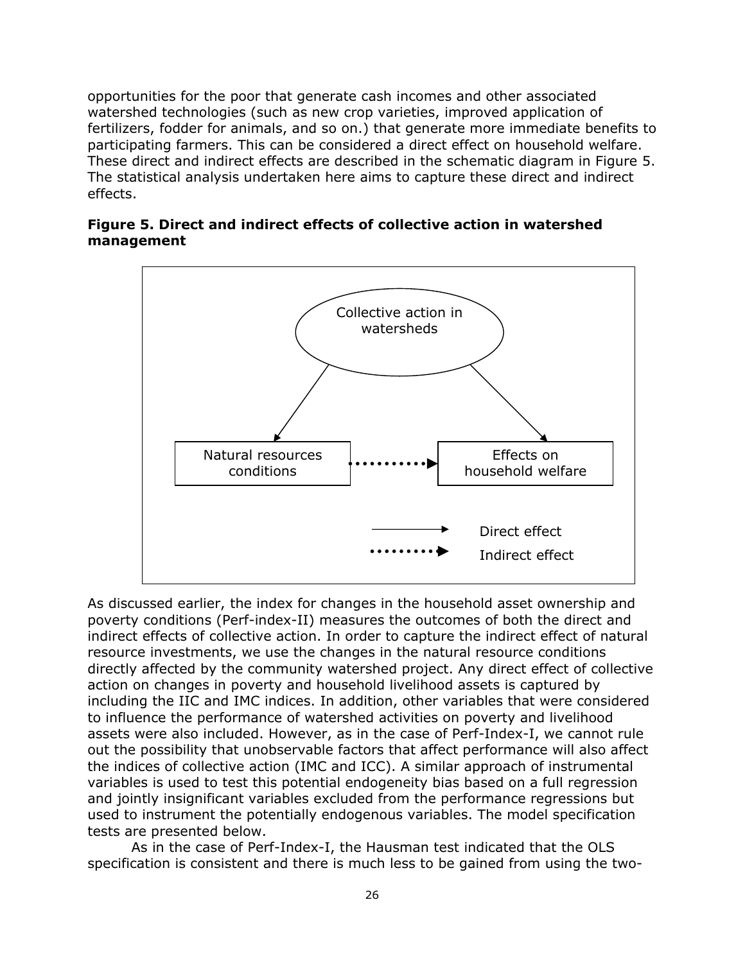opportunities for the poor that generate cash incomes and other associated watershed technologies (such as new crop varieties, improved application of fertilizers, fodder for animals, and so on.) that generate more immediate benefits to participating farmers. This can be considered a direct effect on household welfare. These direct and indirect effects are described in the schematic diagram in Figure 5. The statistical analysis undertaken here aims to capture these direct and indirect effects.

#### **Figure 5. Direct and indirect effects of collective action in watershed management**



As discussed earlier, the index for changes in the household asset ownership and poverty conditions (Perf-index-II) measures the outcomes of both the direct and indirect effects of collective action. In order to capture the indirect effect of natural resource investments, we use the changes in the natural resource conditions directly affected by the community watershed project. Any direct effect of collective action on changes in poverty and household livelihood assets is captured by including the IIC and IMC indices. In addition, other variables that were considered to influence the performance of watershed activities on poverty and livelihood assets were also included. However, as in the case of Perf-Index-I, we cannot rule out the possibility that unobservable factors that affect performance will also affect the indices of collective action (IMC and ICC). A similar approach of instrumental variables is used to test this potential endogeneity bias based on a full regression and jointly insignificant variables excluded from the performance regressions but used to instrument the potentially endogenous variables. The model specification tests are presented below.

As in the case of Perf-Index-I, the Hausman test indicated that the OLS specification is consistent and there is much less to be gained from using the two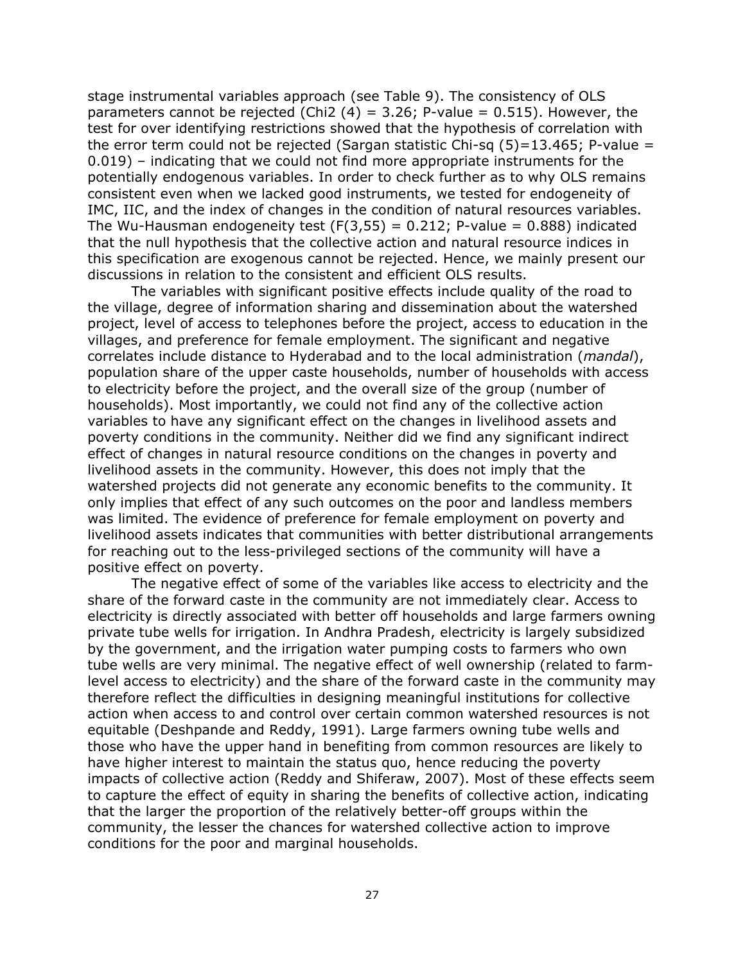stage instrumental variables approach (see Table 9). The consistency of OLS parameters cannot be rejected (Chi2  $(4)$  = 3.26; P-value = 0.515). However, the test for over identifying restrictions showed that the hypothesis of correlation with the error term could not be rejected (Sargan statistic Chi-sq  $(5)=13.465$ ; P-value = 0.019) – indicating that we could not find more appropriate instruments for the potentially endogenous variables. In order to check further as to why OLS remains consistent even when we lacked good instruments, we tested for endogeneity of IMC, IIC, and the index of changes in the condition of natural resources variables. The Wu-Hausman endogeneity test  $(F(3,55) = 0.212; P-value = 0.888)$  indicated that the null hypothesis that the collective action and natural resource indices in this specification are exogenous cannot be rejected. Hence, we mainly present our discussions in relation to the consistent and efficient OLS results.

The variables with significant positive effects include quality of the road to the village, degree of information sharing and dissemination about the watershed project, level of access to telephones before the project, access to education in the villages, and preference for female employment. The significant and negative correlates include distance to Hyderabad and to the local administration (*mandal*), population share of the upper caste households, number of households with access to electricity before the project, and the overall size of the group (number of households). Most importantly, we could not find any of the collective action variables to have any significant effect on the changes in livelihood assets and poverty conditions in the community. Neither did we find any significant indirect effect of changes in natural resource conditions on the changes in poverty and livelihood assets in the community. However, this does not imply that the watershed projects did not generate any economic benefits to the community. It only implies that effect of any such outcomes on the poor and landless members was limited. The evidence of preference for female employment on poverty and livelihood assets indicates that communities with better distributional arrangements for reaching out to the less-privileged sections of the community will have a positive effect on poverty.

The negative effect of some of the variables like access to electricity and the share of the forward caste in the community are not immediately clear. Access to electricity is directly associated with better off households and large farmers owning private tube wells for irrigation. In Andhra Pradesh, electricity is largely subsidized by the government, and the irrigation water pumping costs to farmers who own tube wells are very minimal. The negative effect of well ownership (related to farmlevel access to electricity) and the share of the forward caste in the community may therefore reflect the difficulties in designing meaningful institutions for collective action when access to and control over certain common watershed resources is not equitable (Deshpande and Reddy, 1991). Large farmers owning tube wells and those who have the upper hand in benefiting from common resources are likely to have higher interest to maintain the status quo, hence reducing the poverty impacts of collective action (Reddy and Shiferaw, 2007). Most of these effects seem to capture the effect of equity in sharing the benefits of collective action, indicating that the larger the proportion of the relatively better-off groups within the community, the lesser the chances for watershed collective action to improve conditions for the poor and marginal households.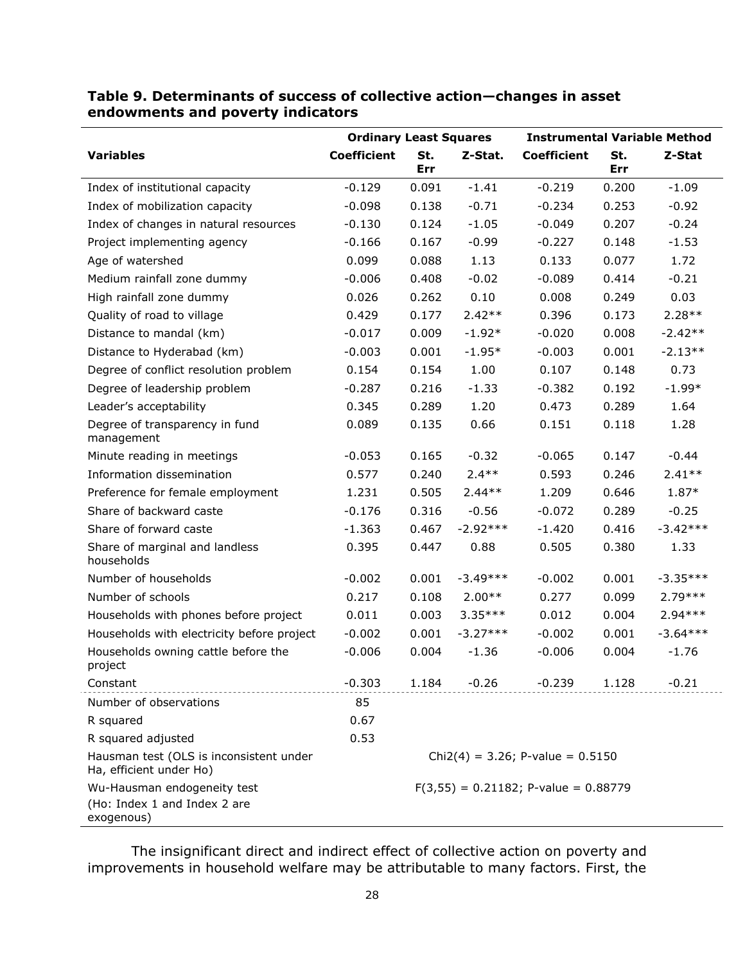|                                                                           | <b>Ordinary Least Squares</b>       |            |            |                                         |            | <b>Instrumental Variable Method</b> |
|---------------------------------------------------------------------------|-------------------------------------|------------|------------|-----------------------------------------|------------|-------------------------------------|
| <b>Variables</b>                                                          | <b>Coefficient</b>                  | St.<br>Err | Z-Stat.    | <b>Coefficient</b>                      | St.<br>Err | Z-Stat                              |
|                                                                           | $-0.129$                            | 0.091      | $-1.41$    | $-0.219$                                |            | $-1.09$                             |
| Index of institutional capacity                                           |                                     |            |            |                                         | 0.200      |                                     |
| Index of mobilization capacity                                            | $-0.098$                            | 0.138      | $-0.71$    | $-0.234$                                | 0.253      | $-0.92$                             |
| Index of changes in natural resources                                     | $-0.130$                            | 0.124      | $-1.05$    | $-0.049$                                | 0.207      | $-0.24$                             |
| Project implementing agency                                               | $-0.166$                            | 0.167      | $-0.99$    | $-0.227$                                | 0.148      | $-1.53$                             |
| Age of watershed                                                          | 0.099                               | 0.088      | 1.13       | 0.133                                   | 0.077      | 1.72                                |
| Medium rainfall zone dummy                                                | $-0.006$                            | 0.408      | $-0.02$    | $-0.089$                                | 0.414      | $-0.21$                             |
| High rainfall zone dummy                                                  | 0.026                               | 0.262      | 0.10       | 0.008                                   | 0.249      | 0.03                                |
| Quality of road to village                                                | 0.429                               | 0.177      | $2.42**$   | 0.396                                   | 0.173      | $2.28**$                            |
| Distance to mandal (km)                                                   | $-0.017$                            | 0.009      | $-1.92*$   | $-0.020$                                | 0.008      | $-2.42**$                           |
| Distance to Hyderabad (km)                                                | $-0.003$                            | 0.001      | $-1.95*$   | $-0.003$                                | 0.001      | $-2.13**$                           |
| Degree of conflict resolution problem                                     | 0.154                               | 0.154      | 1.00       | 0.107                                   | 0.148      | 0.73                                |
| Degree of leadership problem                                              | $-0.287$                            | 0.216      | $-1.33$    | $-0.382$                                | 0.192      | $-1.99*$                            |
| Leader's acceptability                                                    | 0.345                               | 0.289      | 1.20       | 0.473                                   | 0.289      | 1.64                                |
| Degree of transparency in fund<br>management                              | 0.089                               | 0.135      | 0.66       | 0.151                                   | 0.118      | 1.28                                |
| Minute reading in meetings                                                | $-0.053$                            | 0.165      | $-0.32$    | $-0.065$                                | 0.147      | $-0.44$                             |
| Information dissemination                                                 | 0.577                               | 0.240      | $2.4**$    | 0.593                                   | 0.246      | $2.41**$                            |
| Preference for female employment                                          | 1.231                               | 0.505      | $2.44**$   | 1.209                                   | 0.646      | 1.87*                               |
| Share of backward caste                                                   | $-0.176$                            | 0.316      | $-0.56$    | $-0.072$                                | 0.289      | $-0.25$                             |
| Share of forward caste                                                    | $-1.363$                            | 0.467      | $-2.92***$ | $-1.420$                                | 0.416      | $-3.42***$                          |
| Share of marginal and landless<br>households                              | 0.395                               | 0.447      | 0.88       | 0.505                                   | 0.380      | 1.33                                |
| Number of households                                                      | $-0.002$                            | 0.001      | $-3.49***$ | $-0.002$                                | 0.001      | $-3.35***$                          |
| Number of schools                                                         | 0.217                               | 0.108      | $2.00**$   | 0.277                                   | 0.099      | $2.79***$                           |
| Households with phones before project                                     | 0.011                               | 0.003      | $3.35***$  | 0.012                                   | 0.004      | $2.94***$                           |
| Households with electricity before project                                | $-0.002$                            | 0.001      | $-3.27***$ | $-0.002$                                | 0.001      | $-3.64***$                          |
| Households owning cattle before the<br>project                            | $-0.006$                            | 0.004      | $-1.36$    | $-0.006$                                | 0.004      | $-1.76$                             |
| Constant                                                                  | $-0.303$                            | 1.184      | $-0.26$    | $-0.239$                                | 1.128      | $-0.21$                             |
| Number of observations                                                    | 85                                  |            |            |                                         |            |                                     |
| R squared                                                                 | 0.67                                |            |            |                                         |            |                                     |
| R squared adjusted                                                        | 0.53                                |            |            |                                         |            |                                     |
| Hausman test (OLS is inconsistent under<br>Ha, efficient under Ho)        | $Chi2(4) = 3.26$ ; P-value = 0.5150 |            |            |                                         |            |                                     |
| Wu-Hausman endogeneity test<br>(Ho: Index 1 and Index 2 are<br>exogenous) |                                     |            |            | $F(3,55) = 0.21182$ ; P-value = 0.88779 |            |                                     |

## **Table 9. Determinants of success of collective action—changes in asset endowments and poverty indicators**

The insignificant direct and indirect effect of collective action on poverty and improvements in household welfare may be attributable to many factors. First, the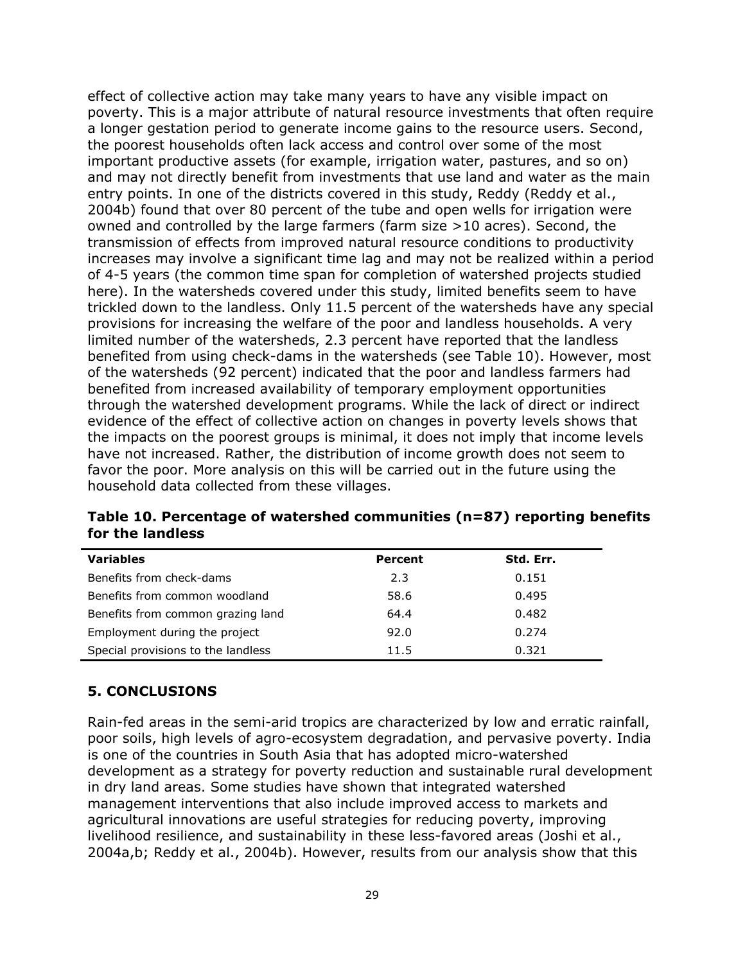effect of collective action may take many years to have any visible impact on poverty. This is a major attribute of natural resource investments that often require a longer gestation period to generate income gains to the resource users. Second, the poorest households often lack access and control over some of the most important productive assets (for example, irrigation water, pastures, and so on) and may not directly benefit from investments that use land and water as the main entry points. In one of the districts covered in this study, Reddy (Reddy et al., 2004b) found that over 80 percent of the tube and open wells for irrigation were owned and controlled by the large farmers (farm size >10 acres). Second, the transmission of effects from improved natural resource conditions to productivity increases may involve a significant time lag and may not be realized within a period of 4-5 years (the common time span for completion of watershed projects studied here). In the watersheds covered under this study, limited benefits seem to have trickled down to the landless. Only 11.5 percent of the watersheds have any special provisions for increasing the welfare of the poor and landless households. A very limited number of the watersheds, 2.3 percent have reported that the landless benefited from using check-dams in the watersheds (see Table 10). However, most of the watersheds (92 percent) indicated that the poor and landless farmers had benefited from increased availability of temporary employment opportunities through the watershed development programs. While the lack of direct or indirect evidence of the effect of collective action on changes in poverty levels shows that the impacts on the poorest groups is minimal, it does not imply that income levels have not increased. Rather, the distribution of income growth does not seem to favor the poor. More analysis on this will be carried out in the future using the household data collected from these villages.

| <b>Variables</b>                   | Percent | Std. Err. |
|------------------------------------|---------|-----------|
| Benefits from check-dams           | 2.3     | 0.151     |
| Benefits from common woodland      | 58.6    | 0.495     |
| Benefits from common grazing land  | 64.4    | 0.482     |
| Employment during the project      | 92.0    | 0.274     |
| Special provisions to the landless | 11.5    | 0.321     |

**Table 10. Percentage of watershed communities (n=87) reporting benefits for the landless** 

#### **5. CONCLUSIONS**

Rain-fed areas in the semi-arid tropics are characterized by low and erratic rainfall, poor soils, high levels of agro-ecosystem degradation, and pervasive poverty. India is one of the countries in South Asia that has adopted micro-watershed development as a strategy for poverty reduction and sustainable rural development in dry land areas. Some studies have shown that integrated watershed management interventions that also include improved access to markets and agricultural innovations are useful strategies for reducing poverty, improving livelihood resilience, and sustainability in these less-favored areas (Joshi et al., 2004a,b; Reddy et al., 2004b). However, results from our analysis show that this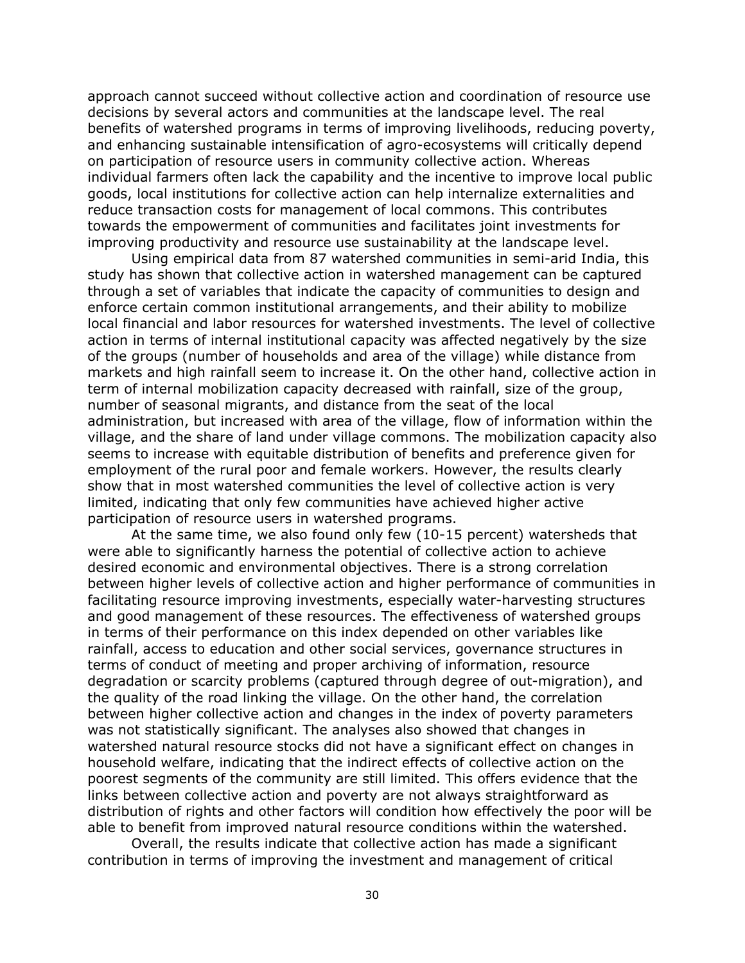approach cannot succeed without collective action and coordination of resource use decisions by several actors and communities at the landscape level. The real benefits of watershed programs in terms of improving livelihoods, reducing poverty, and enhancing sustainable intensification of agro-ecosystems will critically depend on participation of resource users in community collective action. Whereas individual farmers often lack the capability and the incentive to improve local public goods, local institutions for collective action can help internalize externalities and reduce transaction costs for management of local commons. This contributes towards the empowerment of communities and facilitates joint investments for improving productivity and resource use sustainability at the landscape level.

Using empirical data from 87 watershed communities in semi-arid India, this study has shown that collective action in watershed management can be captured through a set of variables that indicate the capacity of communities to design and enforce certain common institutional arrangements, and their ability to mobilize local financial and labor resources for watershed investments. The level of collective action in terms of internal institutional capacity was affected negatively by the size of the groups (number of households and area of the village) while distance from markets and high rainfall seem to increase it. On the other hand, collective action in term of internal mobilization capacity decreased with rainfall, size of the group, number of seasonal migrants, and distance from the seat of the local administration, but increased with area of the village, flow of information within the village, and the share of land under village commons. The mobilization capacity also seems to increase with equitable distribution of benefits and preference given for employment of the rural poor and female workers. However, the results clearly show that in most watershed communities the level of collective action is very limited, indicating that only few communities have achieved higher active participation of resource users in watershed programs.

At the same time, we also found only few (10-15 percent) watersheds that were able to significantly harness the potential of collective action to achieve desired economic and environmental objectives. There is a strong correlation between higher levels of collective action and higher performance of communities in facilitating resource improving investments, especially water-harvesting structures and good management of these resources. The effectiveness of watershed groups in terms of their performance on this index depended on other variables like rainfall, access to education and other social services, governance structures in terms of conduct of meeting and proper archiving of information, resource degradation or scarcity problems (captured through degree of out-migration), and the quality of the road linking the village. On the other hand, the correlation between higher collective action and changes in the index of poverty parameters was not statistically significant. The analyses also showed that changes in watershed natural resource stocks did not have a significant effect on changes in household welfare, indicating that the indirect effects of collective action on the poorest segments of the community are still limited. This offers evidence that the links between collective action and poverty are not always straightforward as distribution of rights and other factors will condition how effectively the poor will be able to benefit from improved natural resource conditions within the watershed.

Overall, the results indicate that collective action has made a significant contribution in terms of improving the investment and management of critical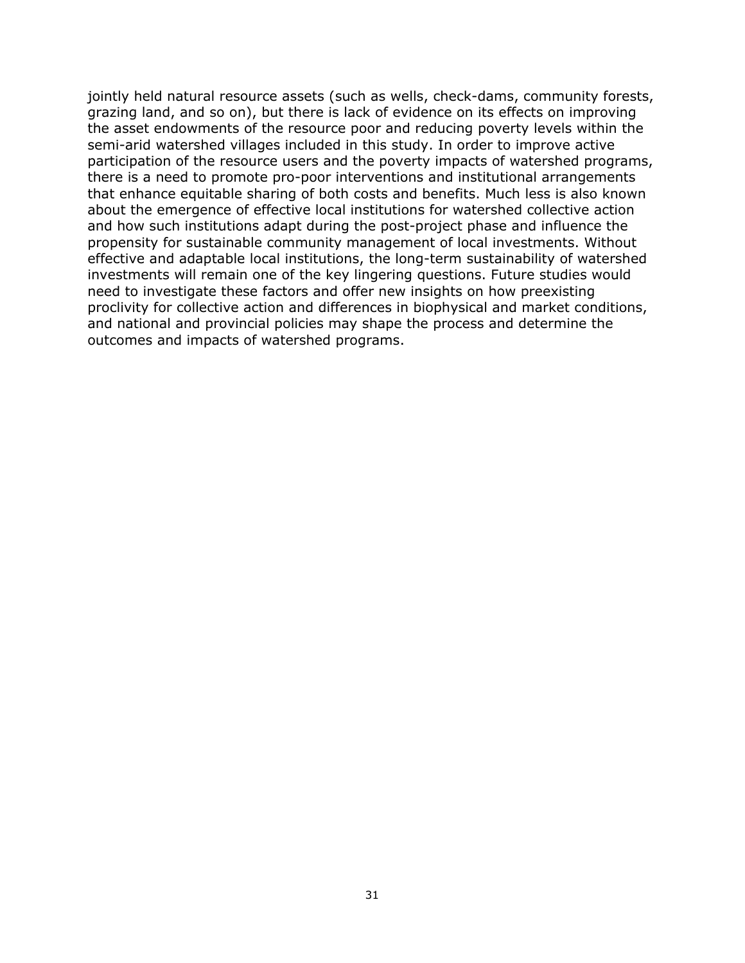jointly held natural resource assets (such as wells, check-dams, community forests, grazing land, and so on), but there is lack of evidence on its effects on improving the asset endowments of the resource poor and reducing poverty levels within the semi-arid watershed villages included in this study. In order to improve active participation of the resource users and the poverty impacts of watershed programs, there is a need to promote pro-poor interventions and institutional arrangements that enhance equitable sharing of both costs and benefits. Much less is also known about the emergence of effective local institutions for watershed collective action and how such institutions adapt during the post-project phase and influence the propensity for sustainable community management of local investments. Without effective and adaptable local institutions, the long-term sustainability of watershed investments will remain one of the key lingering questions. Future studies would need to investigate these factors and offer new insights on how preexisting proclivity for collective action and differences in biophysical and market conditions, and national and provincial policies may shape the process and determine the outcomes and impacts of watershed programs.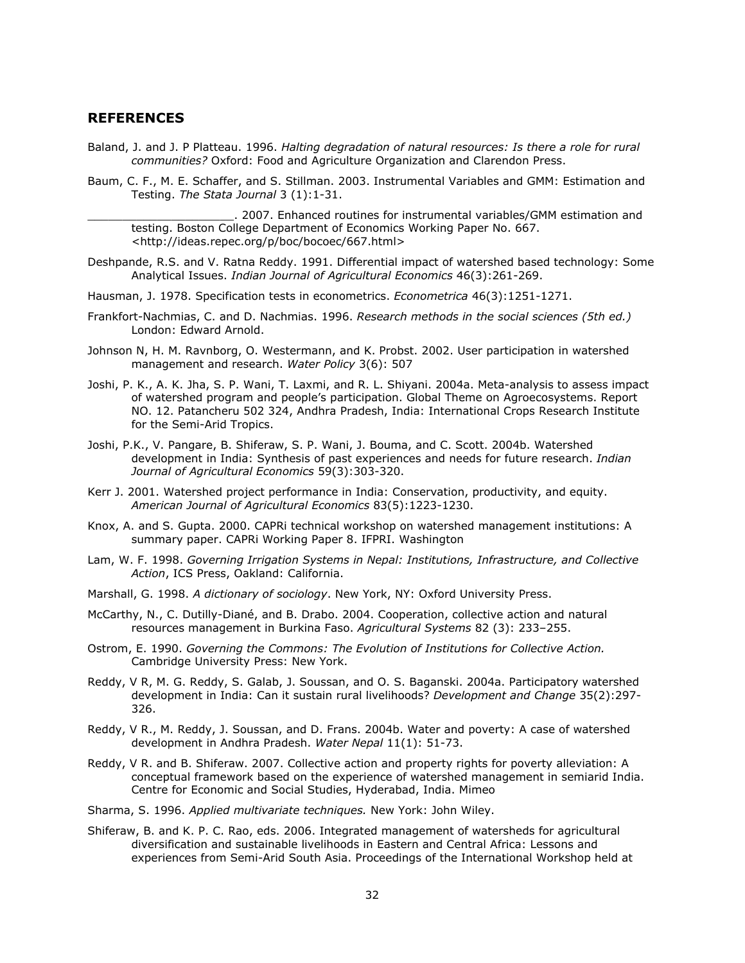#### **REFERENCES**

- Baland, J. and J. P Platteau. 1996. *Halting degradation of natural resources: Is there a role for rural communities?* Oxford: Food and Agriculture Organization and Clarendon Press.
- Baum, C. F., M. E. Schaffer, and S. Stillman. 2003. Instrumental Variables and GMM: Estimation and Testing. *The Stata Journal* 3 (1):1-31.

\_\_\_\_\_\_\_\_\_\_\_\_\_\_\_\_\_\_\_\_\_. 2007. Enhanced routines for instrumental variables/GMM estimation and testing. Boston College Department of Economics Working Paper No. 667. <http://ideas.repec.org/p/boc/bocoec/667.html>

- Deshpande, R.S. and V. Ratna Reddy. 1991. Differential impact of watershed based technology: Some Analytical Issues. *Indian Journal of Agricultural Economics* 46(3):261-269.
- Hausman, J. 1978. Specification tests in econometrics. *Econometrica* 46(3):1251-1271.
- Frankfort-Nachmias, C. and D. Nachmias. 1996. *Research methods in the social sciences (5th ed.)*  London: Edward Arnold.
- Johnson N, H. M. Ravnborg, O. Westermann, and K. Probst. 2002. User participation in watershed management and research. *Water Policy* 3(6): 507
- Joshi, P. K., A. K. Jha, S. P. Wani, T. Laxmi, and R. L. Shiyani. 2004a. Meta-analysis to assess impact of watershed program and people's participation. Global Theme on Agroecosystems. Report NO. 12. Patancheru 502 324, Andhra Pradesh, India: International Crops Research Institute for the Semi-Arid Tropics.
- Joshi, P.K., V. Pangare, B. Shiferaw, S. P. Wani, J. Bouma, and C. Scott. 2004b. Watershed development in India: Synthesis of past experiences and needs for future research. *Indian Journal of Agricultural Economics* 59(3):303-320.
- Kerr J. 2001. Watershed project performance in India: Conservation, productivity, and equity. *American Journal of Agricultural Economics* 83(5):1223-1230.
- Knox, A. and S. Gupta. 2000. CAPRi technical workshop on watershed management institutions: A summary paper. CAPRi Working Paper 8. IFPRI. Washington
- Lam, W. F. 1998. *Governing Irrigation Systems in Nepal: Institutions, Infrastructure, and Collective Action*, ICS Press, Oakland: California.
- Marshall, G. 1998. *A dictionary of sociology*. New York, NY: Oxford University Press.
- McCarthy, N., C. Dutilly-Diané, and B. Drabo. 2004. Cooperation, collective action and natural resources management in Burkina Faso. *Agricultural Systems* 82 (3): 233–255.
- Ostrom, E. 1990. *Governing the Commons: The Evolution of Institutions for Collective Action.* Cambridge University Press: New York.
- Reddy, V R, M. G. Reddy, S. Galab, J. Soussan, and O. S. Baganski. 2004a. Participatory watershed development in India: Can it sustain rural livelihoods? *Development and Change* 35(2):297- 326.
- Reddy, V R., M. Reddy, J. Soussan, and D. Frans. 2004b. Water and poverty: A case of watershed development in Andhra Pradesh. *Water Nepal* 11(1): 51-73.
- Reddy, V R. and B. Shiferaw. 2007. Collective action and property rights for poverty alleviation: A conceptual framework based on the experience of watershed management in semiarid India. Centre for Economic and Social Studies, Hyderabad, India. Mimeo
- Sharma, S. 1996. *Applied multivariate techniques.* New York: John Wiley.
- Shiferaw, B. and K. P. C. Rao, eds. 2006. Integrated management of watersheds for agricultural diversification and sustainable livelihoods in Eastern and Central Africa: Lessons and experiences from Semi-Arid South Asia. Proceedings of the International Workshop held at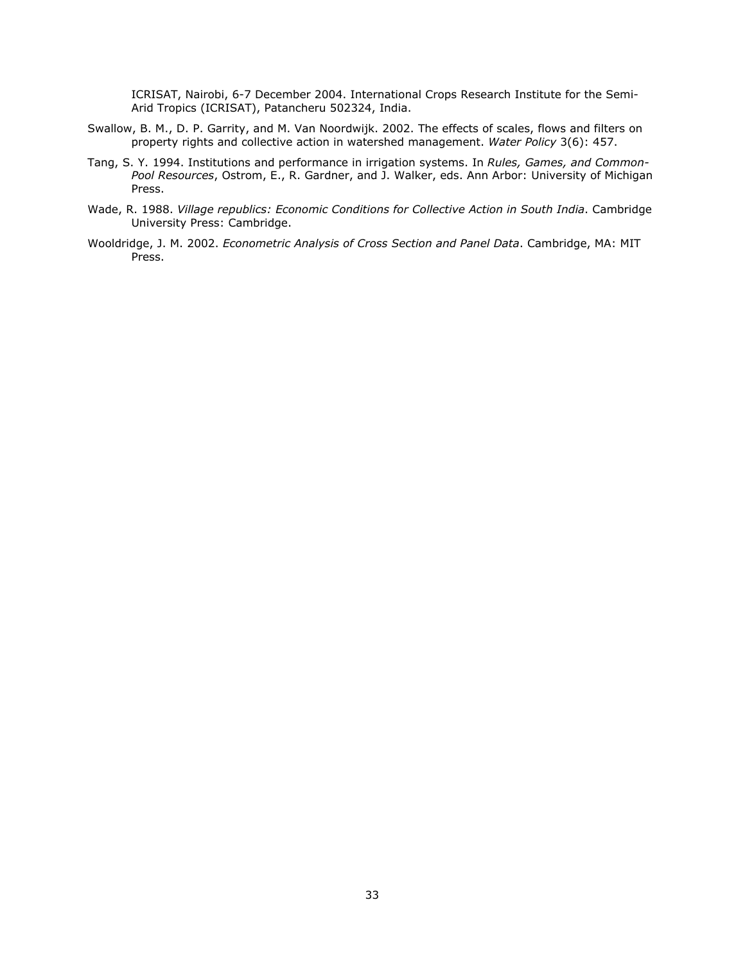ICRISAT, Nairobi, 6-7 December 2004. International Crops Research Institute for the Semi-Arid Tropics (ICRISAT), Patancheru 502324, India.

- Swallow, B. M., D. P. Garrity, and M. Van Noordwijk. 2002. The effects of scales, flows and filters on property rights and collective action in watershed management. *Water Policy* 3(6): 457.
- Tang, S. Y. 1994. Institutions and performance in irrigation systems. In *Rules, Games, and Common-Pool Resources*, Ostrom, E., R. Gardner, and J. Walker, eds. Ann Arbor: University of Michigan Press.
- Wade, R. 1988. *Village republics: Economic Conditions for Collective Action in South India*. Cambridge University Press: Cambridge.
- Wooldridge, J. M. 2002. *Econometric Analysis of Cross Section and Panel Data*. Cambridge, MA: MIT Press.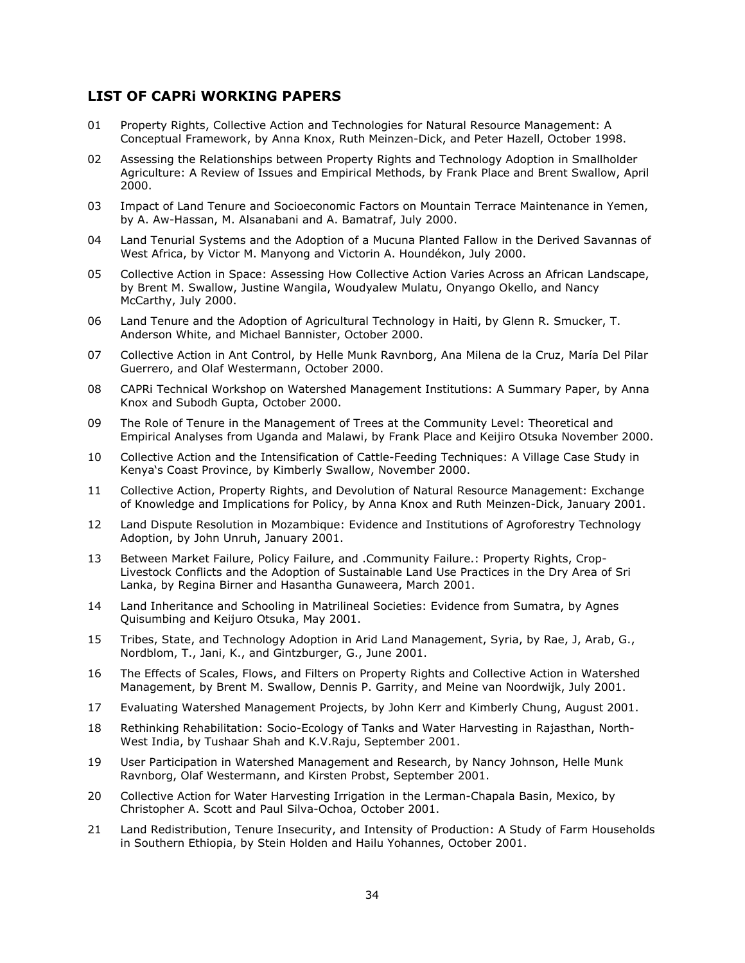#### **LIST OF CAPRi WORKING PAPERS**

- 01 Property Rights, Collective Action and Technologies for Natural Resource Management: A Conceptual Framework, by Anna Knox, Ruth Meinzen-Dick, and Peter Hazell, October 1998.
- 02 Assessing the Relationships between Property Rights and Technology Adoption in Smallholder Agriculture: A Review of Issues and Empirical Methods, by Frank Place and Brent Swallow, April 2000.
- 03 Impact of Land Tenure and Socioeconomic Factors on Mountain Terrace Maintenance in Yemen, by A. Aw-Hassan, M. Alsanabani and A. Bamatraf, July 2000.
- 04 Land Tenurial Systems and the Adoption of a Mucuna Planted Fallow in the Derived Savannas of West Africa, by Victor M. Manyong and Victorin A. Houndékon, July 2000.
- 05 Collective Action in Space: Assessing How Collective Action Varies Across an African Landscape, by Brent M. Swallow, Justine Wangila, Woudyalew Mulatu, Onyango Okello, and Nancy McCarthy, July 2000.
- 06 Land Tenure and the Adoption of Agricultural Technology in Haiti, by Glenn R. Smucker, T. Anderson White, and Michael Bannister, October 2000.
- 07 Collective Action in Ant Control, by Helle Munk Ravnborg, Ana Milena de la Cruz, María Del Pilar Guerrero, and Olaf Westermann, October 2000.
- 08 CAPRi Technical Workshop on Watershed Management Institutions: A Summary Paper, by Anna Knox and Subodh Gupta, October 2000.
- 09 The Role of Tenure in the Management of Trees at the Community Level: Theoretical and Empirical Analyses from Uganda and Malawi, by Frank Place and Keijiro Otsuka November 2000.
- 10 Collective Action and the Intensification of Cattle-Feeding Techniques: A Village Case Study in Kenya's Coast Province, by Kimberly Swallow, November 2000.
- 11 Collective Action, Property Rights, and Devolution of Natural Resource Management: Exchange of Knowledge and Implications for Policy, by Anna Knox and Ruth Meinzen-Dick, January 2001.
- 12 Land Dispute Resolution in Mozambique: Evidence and Institutions of Agroforestry Technology Adoption, by John Unruh, January 2001.
- 13 Between Market Failure, Policy Failure, and .Community Failure.: Property Rights, Crop-Livestock Conflicts and the Adoption of Sustainable Land Use Practices in the Dry Area of Sri Lanka, by Regina Birner and Hasantha Gunaweera, March 2001.
- 14 Land Inheritance and Schooling in Matrilineal Societies: Evidence from Sumatra, by Agnes Quisumbing and Keijuro Otsuka, May 2001.
- 15 Tribes, State, and Technology Adoption in Arid Land Management, Syria, by Rae, J, Arab, G., Nordblom, T., Jani, K., and Gintzburger, G., June 2001.
- 16 The Effects of Scales, Flows, and Filters on Property Rights and Collective Action in Watershed Management, by Brent M. Swallow, Dennis P. Garrity, and Meine van Noordwijk, July 2001.
- 17 Evaluating Watershed Management Projects, by John Kerr and Kimberly Chung, August 2001.
- 18 Rethinking Rehabilitation: Socio-Ecology of Tanks and Water Harvesting in Rajasthan, North-West India, by Tushaar Shah and K.V.Raju, September 2001.
- 19 User Participation in Watershed Management and Research, by Nancy Johnson, Helle Munk Ravnborg, Olaf Westermann, and Kirsten Probst, September 2001.
- 20 Collective Action for Water Harvesting Irrigation in the Lerman-Chapala Basin, Mexico, by Christopher A. Scott and Paul Silva-Ochoa, October 2001.
- 21 Land Redistribution, Tenure Insecurity, and Intensity of Production: A Study of Farm Households in Southern Ethiopia, by Stein Holden and Hailu Yohannes, October 2001.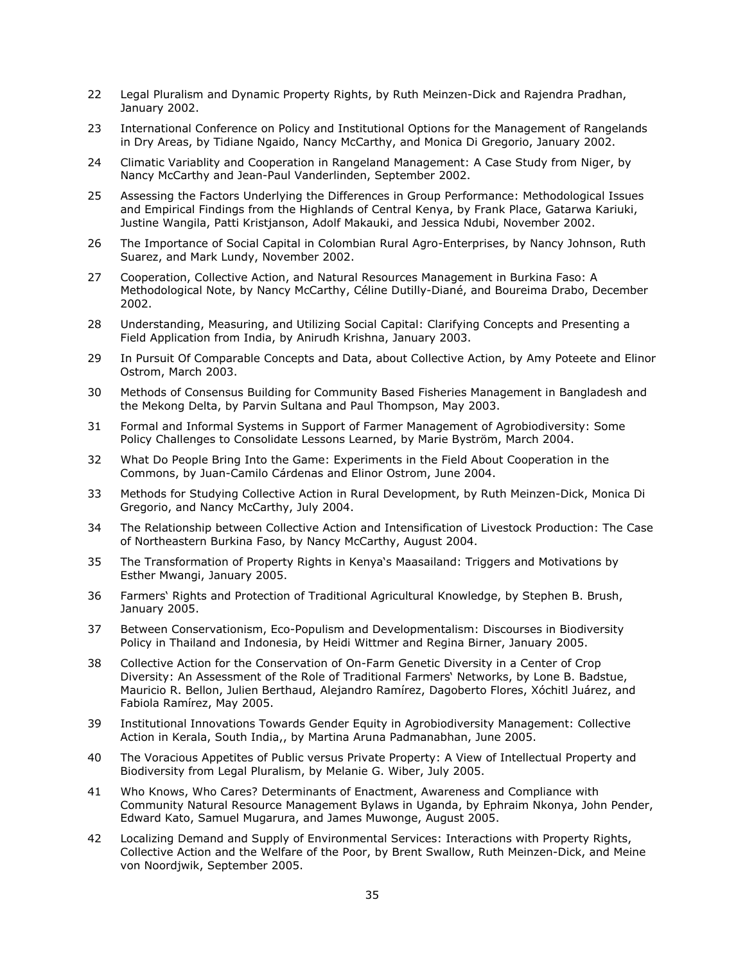- 22 Legal Pluralism and Dynamic Property Rights, by Ruth Meinzen-Dick and Rajendra Pradhan, January 2002.
- 23 International Conference on Policy and Institutional Options for the Management of Rangelands in Dry Areas, by Tidiane Ngaido, Nancy McCarthy, and Monica Di Gregorio, January 2002.
- 24 Climatic Variablity and Cooperation in Rangeland Management: A Case Study from Niger, by Nancy McCarthy and Jean-Paul Vanderlinden, September 2002.
- 25 Assessing the Factors Underlying the Differences in Group Performance: Methodological Issues and Empirical Findings from the Highlands of Central Kenya, by Frank Place, Gatarwa Kariuki, Justine Wangila, Patti Kristjanson, Adolf Makauki, and Jessica Ndubi, November 2002.
- 26 The Importance of Social Capital in Colombian Rural Agro-Enterprises, by Nancy Johnson, Ruth Suarez, and Mark Lundy, November 2002.
- 27 Cooperation, Collective Action, and Natural Resources Management in Burkina Faso: A Methodological Note, by Nancy McCarthy, Céline Dutilly-Diané, and Boureima Drabo, December 2002.
- 28 Understanding, Measuring, and Utilizing Social Capital: Clarifying Concepts and Presenting a Field Application from India, by Anirudh Krishna, January 2003.
- 29 In Pursuit Of Comparable Concepts and Data, about Collective Action, by Amy Poteete and Elinor Ostrom, March 2003.
- 30 Methods of Consensus Building for Community Based Fisheries Management in Bangladesh and the Mekong Delta, by Parvin Sultana and Paul Thompson, May 2003.
- 31 Formal and Informal Systems in Support of Farmer Management of Agrobiodiversity: Some Policy Challenges to Consolidate Lessons Learned, by Marie Byström, March 2004.
- 32 What Do People Bring Into the Game: Experiments in the Field About Cooperation in the Commons, by Juan-Camilo Cárdenas and Elinor Ostrom, June 2004.
- 33 Methods for Studying Collective Action in Rural Development, by Ruth Meinzen-Dick, Monica Di Gregorio, and Nancy McCarthy, July 2004.
- 34 The Relationship between Collective Action and Intensification of Livestock Production: The Case of Northeastern Burkina Faso, by Nancy McCarthy, August 2004.
- 35 The Transformation of Property Rights in Kenya's Maasailand: Triggers and Motivations by Esther Mwangi, January 2005.
- 36 Farmers' Rights and Protection of Traditional Agricultural Knowledge, by Stephen B. Brush, January 2005.
- 37 Between Conservationism, Eco-Populism and Developmentalism: Discourses in Biodiversity Policy in Thailand and Indonesia, by Heidi Wittmer and Regina Birner, January 2005.
- 38 Collective Action for the Conservation of On-Farm Genetic Diversity in a Center of Crop Diversity: An Assessment of the Role of Traditional Farmers' Networks, by Lone B. Badstue, Mauricio R. Bellon, Julien Berthaud, Alejandro Ramírez, Dagoberto Flores, Xóchitl Juárez, and Fabiola Ramírez, May 2005.
- 39 Institutional Innovations Towards Gender Equity in Agrobiodiversity Management: Collective Action in Kerala, South India,, by Martina Aruna Padmanabhan, June 2005.
- 40 The Voracious Appetites of Public versus Private Property: A View of Intellectual Property and Biodiversity from Legal Pluralism, by Melanie G. Wiber, July 2005.
- 41 Who Knows, Who Cares? Determinants of Enactment, Awareness and Compliance with Community Natural Resource Management Bylaws in Uganda, by Ephraim Nkonya, John Pender, Edward Kato, Samuel Mugarura, and James Muwonge, August 2005.
- 42 Localizing Demand and Supply of Environmental Services: Interactions with Property Rights, Collective Action and the Welfare of the Poor, by Brent Swallow, Ruth Meinzen-Dick, and Meine von Noordjwik, September 2005.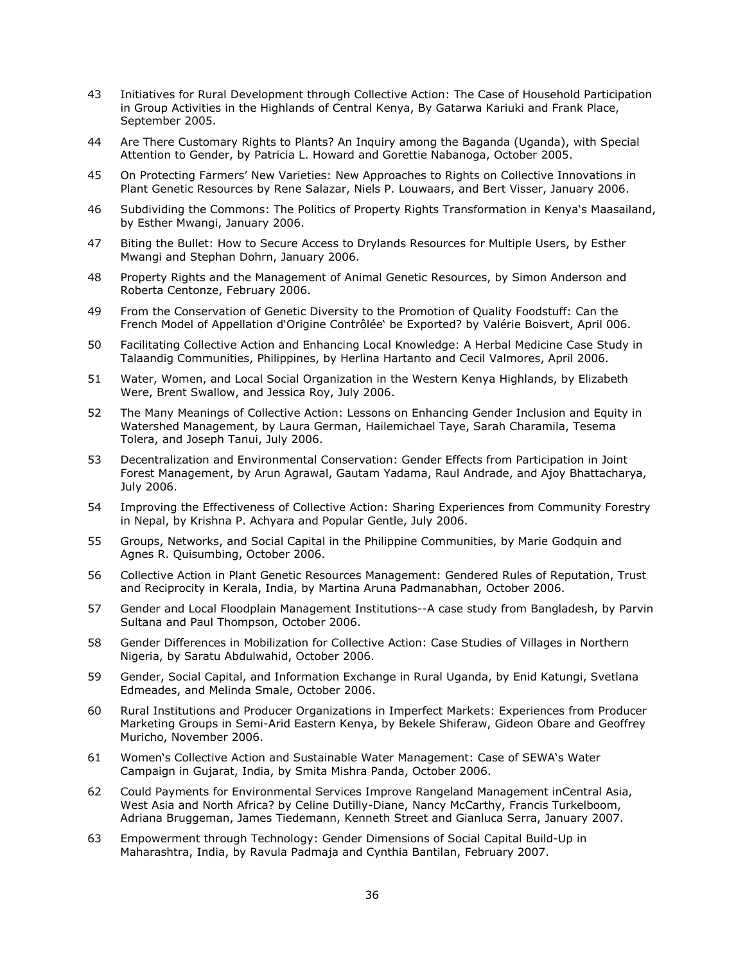- 43 Initiatives for Rural Development through Collective Action: The Case of Household Participation in Group Activities in the Highlands of Central Kenya, By Gatarwa Kariuki and Frank Place, September 2005.
- 44 Are There Customary Rights to Plants? An Inquiry among the Baganda (Uganda), with Special Attention to Gender, by Patricia L. Howard and Gorettie Nabanoga, October 2005.
- 45 On Protecting Farmers' New Varieties: New Approaches to Rights on Collective Innovations in Plant Genetic Resources by Rene Salazar, Niels P. Louwaars, and Bert Visser, January 2006.
- 46 Subdividing the Commons: The Politics of Property Rights Transformation in Kenya's Maasailand, by Esther Mwangi, January 2006.
- 47 Biting the Bullet: How to Secure Access to Drylands Resources for Multiple Users, by Esther Mwangi and Stephan Dohrn, January 2006.
- 48 Property Rights and the Management of Animal Genetic Resources, by Simon Anderson and Roberta Centonze, February 2006.
- 49 From the Conservation of Genetic Diversity to the Promotion of Quality Foodstuff: Can the French Model of Appellation d'Origine Contrôlée' be Exported? by Valérie Boisvert, April 006.
- 50 Facilitating Collective Action and Enhancing Local Knowledge: A Herbal Medicine Case Study in Talaandig Communities, Philippines, by Herlina Hartanto and Cecil Valmores, April 2006.
- 51 Water, Women, and Local Social Organization in the Western Kenya Highlands, by Elizabeth Were, Brent Swallow, and Jessica Roy, July 2006.
- 52 The Many Meanings of Collective Action: Lessons on Enhancing Gender Inclusion and Equity in Watershed Management, by Laura German, Hailemichael Taye, Sarah Charamila, Tesema Tolera, and Joseph Tanui, July 2006.
- 53 Decentralization and Environmental Conservation: Gender Effects from Participation in Joint Forest Management, by Arun Agrawal, Gautam Yadama, Raul Andrade, and Ajoy Bhattacharya, July 2006.
- 54 Improving the Effectiveness of Collective Action: Sharing Experiences from Community Forestry in Nepal, by Krishna P. Achyara and Popular Gentle, July 2006.
- 55 Groups, Networks, and Social Capital in the Philippine Communities, by Marie Godquin and Agnes R. Quisumbing, October 2006.
- 56 Collective Action in Plant Genetic Resources Management: Gendered Rules of Reputation, Trust and Reciprocity in Kerala, India, by Martina Aruna Padmanabhan, October 2006.
- 57 Gender and Local Floodplain Management Institutions--A case study from Bangladesh, by Parvin Sultana and Paul Thompson, October 2006.
- 58 Gender Differences in Mobilization for Collective Action: Case Studies of Villages in Northern Nigeria, by Saratu Abdulwahid, October 2006.
- 59 Gender, Social Capital, and Information Exchange in Rural Uganda, by Enid Katungi, Svetlana Edmeades, and Melinda Smale, October 2006.
- 60 Rural Institutions and Producer Organizations in Imperfect Markets: Experiences from Producer Marketing Groups in Semi-Arid Eastern Kenya, by Bekele Shiferaw, Gideon Obare and Geoffrey Muricho, November 2006.
- 61 Women's Collective Action and Sustainable Water Management: Case of SEWA's Water Campaign in Gujarat, India, by Smita Mishra Panda, October 2006.
- 62 Could Payments for Environmental Services Improve Rangeland Management inCentral Asia, West Asia and North Africa? by Celine Dutilly-Diane, Nancy McCarthy, Francis Turkelboom, Adriana Bruggeman, James Tiedemann, Kenneth Street and Gianluca Serra, January 2007.
- 63 Empowerment through Technology: Gender Dimensions of Social Capital Build-Up in Maharashtra, India, by Ravula Padmaja and Cynthia Bantilan, February 2007.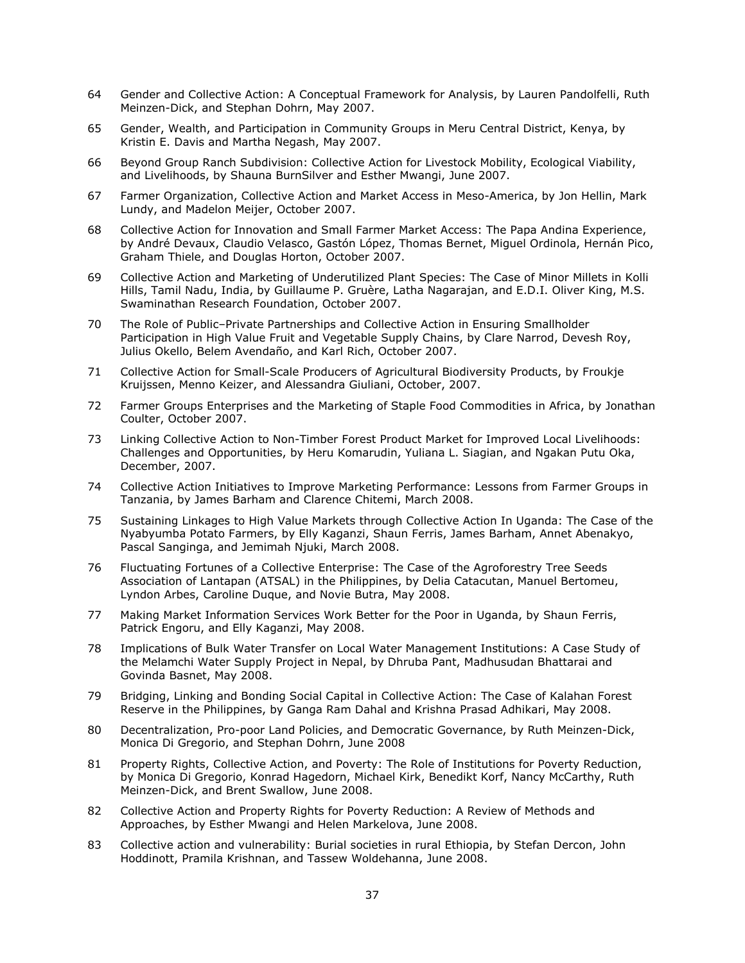- 64 Gender and Collective Action: A Conceptual Framework for Analysis, by Lauren Pandolfelli, Ruth Meinzen-Dick, and Stephan Dohrn, May 2007.
- 65 Gender, Wealth, and Participation in Community Groups in Meru Central District, Kenya, by Kristin E. Davis and Martha Negash, May 2007.
- 66 Beyond Group Ranch Subdivision: Collective Action for Livestock Mobility, Ecological Viability, and Livelihoods, by Shauna BurnSilver and Esther Mwangi, June 2007.
- 67 Farmer Organization, Collective Action and Market Access in Meso-America, by Jon Hellin, Mark Lundy, and Madelon Meijer, October 2007.
- 68 Collective Action for Innovation and Small Farmer Market Access: The Papa Andina Experience, by André Devaux, Claudio Velasco, Gastón López, Thomas Bernet, Miguel Ordinola, Hernán Pico, Graham Thiele, and Douglas Horton, October 2007.
- 69 Collective Action and Marketing of Underutilized Plant Species: The Case of Minor Millets in Kolli Hills, Tamil Nadu, India, by Guillaume P. Gruère, Latha Nagarajan, and E.D.I. Oliver King, M.S. Swaminathan Research Foundation, October 2007.
- 70 The Role of Public–Private Partnerships and Collective Action in Ensuring Smallholder Participation in High Value Fruit and Vegetable Supply Chains, by Clare Narrod, Devesh Roy, Julius Okello, Belem Avendaño, and Karl Rich, October 2007.
- 71 Collective Action for Small-Scale Producers of Agricultural Biodiversity Products, by Froukje Kruijssen, Menno Keizer, and Alessandra Giuliani, October, 2007.
- 72 Farmer Groups Enterprises and the Marketing of Staple Food Commodities in Africa, by Jonathan Coulter, October 2007.
- 73 Linking Collective Action to Non-Timber Forest Product Market for Improved Local Livelihoods: Challenges and Opportunities, by Heru Komarudin, Yuliana L. Siagian, and Ngakan Putu Oka, December, 2007.
- 74 Collective Action Initiatives to Improve Marketing Performance: Lessons from Farmer Groups in Tanzania, by James Barham and Clarence Chitemi, March 2008.
- 75 Sustaining Linkages to High Value Markets through Collective Action In Uganda: The Case of the Nyabyumba Potato Farmers, by Elly Kaganzi, Shaun Ferris, James Barham, Annet Abenakyo, Pascal Sanginga, and Jemimah Njuki, March 2008.
- 76 Fluctuating Fortunes of a Collective Enterprise: The Case of the Agroforestry Tree Seeds Association of Lantapan (ATSAL) in the Philippines, by Delia Catacutan, Manuel Bertomeu, Lyndon Arbes, Caroline Duque, and Novie Butra, May 2008.
- 77 Making Market Information Services Work Better for the Poor in Uganda, by Shaun Ferris, Patrick Engoru, and Elly Kaganzi, May 2008.
- 78 Implications of Bulk Water Transfer on Local Water Management Institutions: A Case Study of the Melamchi Water Supply Project in Nepal, by Dhruba Pant, Madhusudan Bhattarai and Govinda Basnet, May 2008.
- 79 Bridging, Linking and Bonding Social Capital in Collective Action: The Case of Kalahan Forest Reserve in the Philippines, by Ganga Ram Dahal and Krishna Prasad Adhikari, May 2008.
- 80 Decentralization, Pro-poor Land Policies, and Democratic Governance, by Ruth Meinzen-Dick, Monica Di Gregorio, and Stephan Dohrn, June 2008
- 81 Property Rights, Collective Action, and Poverty: The Role of Institutions for Poverty Reduction, by Monica Di Gregorio, Konrad Hagedorn, Michael Kirk, Benedikt Korf, Nancy McCarthy, Ruth Meinzen-Dick, and Brent Swallow, June 2008.
- 82 Collective Action and Property Rights for Poverty Reduction: A Review of Methods and Approaches, by Esther Mwangi and Helen Markelova, June 2008.
- 83 Collective action and vulnerability: Burial societies in rural Ethiopia, by Stefan Dercon, John Hoddinott, Pramila Krishnan, and Tassew Woldehanna, June 2008.